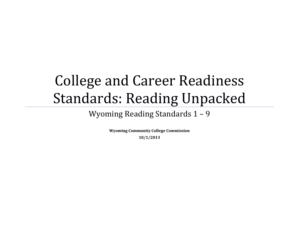# College and Career Readiness Standards: Reading Unpacked

Wyoming Reading Standards 1 – 9

**Wyoming Community College Commission 10/1/2013**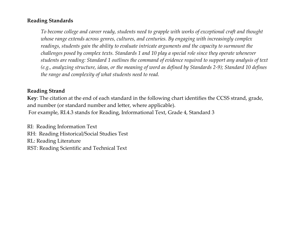#### **Reading Standards**

*To become college and career ready, students need to grapple with works of exceptional craft and thought whose range extends across genres, cultures, and centuries. By engaging with increasingly complex readings, students gain the ability to evaluate intricate arguments and the capacity to surmount the challenges posed by complex texts. Standards 1 and 10 play a special role since they operate whenever students are reading: Standard 1 outlines the command of evidence required to support any analysis of text (e.g., analyzing structure, ideas, or the meaning of word as defined by Standards 2-9); Standard 10 defines the range and complexity of what students need to read.* 

#### **Reading Strand**

**Key**: The citation at the end of each standard in the following chart identifies the CCSS strand, grade, and number (or standard number and letter, where applicable). For example, RI.4.3 stands for Reading, Informational Text, Grade 4, Standard 3

RI: Reading Information Text RH: Reading Historical/Social Studies Test RL: Reading Literature RST: Reading Scientific and Technical Text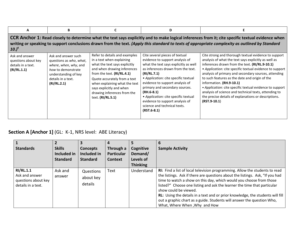| A                                                                                                                                                                                                                                                                                                                 | В                                                                                                                                                          |                                                                                                                                                                                                                                                                                                           | D                                                                                                                                                                                                                                                                                                                                                                                                                        |                                                                                                                                                                                                                                                                                                                                                                                                                                                                                                                                                                 |  |  |  |
|-------------------------------------------------------------------------------------------------------------------------------------------------------------------------------------------------------------------------------------------------------------------------------------------------------------------|------------------------------------------------------------------------------------------------------------------------------------------------------------|-----------------------------------------------------------------------------------------------------------------------------------------------------------------------------------------------------------------------------------------------------------------------------------------------------------|--------------------------------------------------------------------------------------------------------------------------------------------------------------------------------------------------------------------------------------------------------------------------------------------------------------------------------------------------------------------------------------------------------------------------|-----------------------------------------------------------------------------------------------------------------------------------------------------------------------------------------------------------------------------------------------------------------------------------------------------------------------------------------------------------------------------------------------------------------------------------------------------------------------------------------------------------------------------------------------------------------|--|--|--|
| CCR Anchor 1: Read closely to determine what the text says explicitly and to make logical inferences from it; cite specific textual evidence when<br>writing or speaking to support conclusions drawn from the text. (Apply this standard to texts of appropriate complexity as outlined by Standard<br>$(10.)^4$ |                                                                                                                                                            |                                                                                                                                                                                                                                                                                                           |                                                                                                                                                                                                                                                                                                                                                                                                                          |                                                                                                                                                                                                                                                                                                                                                                                                                                                                                                                                                                 |  |  |  |
| Ask and answer<br>questions about key<br>details in a text.<br>(RI/RL.1.1)                                                                                                                                                                                                                                        | Ask and answer such<br>questions as who, what,<br>where, when, why, and<br>how to demonstrate<br>understanding of key<br>details in a text.<br>(RI/RL.2.1) | Refer to details and examples<br>in a text when explaining<br>what the text says explicitly<br>and when drawing inferences<br>from the text. (RI/RL.4.1)<br>Quote accurately from a text<br>when explaining what the text<br>says explicitly and when<br>drawing inferences from the<br>text. (RI/RL.5.1) | Cite several pieces of textual<br>evidence to support analysis of<br>what the text says explicitly as well<br>as inferences drawn from the text.<br>(RI/RL.7.1)<br>• Application: cite specific textual<br>evidence to support analysis of<br>primary and secondary sources.<br>$(RH.6-8.1)$<br>• Application: cite specific textual<br>evidence to support analysis of<br>science and technical texts.<br>$(RST.6-8.1)$ | Cite strong and thorough textual evidence to support<br>analysis of what the text says explicitly as well as<br>inferences drawn from the text. (RI/RL.9-10.1)<br>• Application: cite specific textual evidence to support<br>analysis of primary and secondary sources, attending<br>to such features as the date and origin of the<br>information. (RH.9-10.1)<br>• Application: cite specific textual evidence to support<br>analysis of science and technical texts, attending to<br>the precise details of explanations or descriptions.<br>$(RST.9-10.1)$ |  |  |  |

# **Section A [Anchor 1]** (GL: K-1, NRS level: ABE Literacy)

| <b>Standards</b>                                                                | <b>Skills</b>     | <b>Concepts</b>                   | Through a         | Cognitive       | <b>Sample Activity</b>                                                                                                                                                                                                                                                                                                                                                                                                                                                                                                                |
|---------------------------------------------------------------------------------|-------------------|-----------------------------------|-------------------|-----------------|---------------------------------------------------------------------------------------------------------------------------------------------------------------------------------------------------------------------------------------------------------------------------------------------------------------------------------------------------------------------------------------------------------------------------------------------------------------------------------------------------------------------------------------|
|                                                                                 | Included in       | Included in                       | <b>Particular</b> | Demand/         |                                                                                                                                                                                                                                                                                                                                                                                                                                                                                                                                       |
|                                                                                 | <b>Standard</b>   | <b>Standard</b>                   | <b>Context</b>    | Levels of       |                                                                                                                                                                                                                                                                                                                                                                                                                                                                                                                                       |
|                                                                                 |                   |                                   |                   | <b>Thinking</b> |                                                                                                                                                                                                                                                                                                                                                                                                                                                                                                                                       |
| <b>RI/RL.1.1</b><br>Ask and answer<br>questions about key<br>details in a text. | Ask and<br>answer | Questions<br>about key<br>details | Text              | Understand      | RI: Find a list of local television programming. Allow the students to read<br>the listings. Ask if there are questions about the listings. Ask, "If you had<br>time to watch a show on this day, which would you choose from those<br>listed?" Choose one listing and ask the learner the time that particular<br>show could be viewed.<br>RL: Using the details in a text and or prior knowledge, the students will fill<br>out a graphic chart as a guide. Students will answer the question Who,<br>What, Where When, Why and How |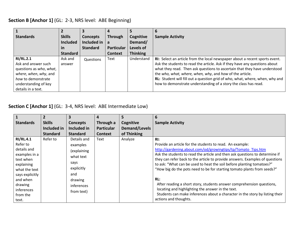#### **Section B [Anchor 1]** (GL: 2-3, NRS level: ABE Beginning)

| <b>Standards</b>        | <b>Skills</b>   | Concepts        | <b>Through</b>    | Cognitive       | <b>Sample Activity</b>                                                       |
|-------------------------|-----------------|-----------------|-------------------|-----------------|------------------------------------------------------------------------------|
|                         | <b>Included</b> | Included in     | a                 | Demand/         |                                                                              |
|                         | <u>in</u>       | <b>Standard</b> | <b>Particular</b> | Levels of       |                                                                              |
|                         | <b>Standard</b> |                 | <b>Context</b>    | <b>Thinking</b> |                                                                              |
| <b>RI/RL.2.1</b>        | Ask and         | Questions       | Text              | Understand      | RI: Select an article from the local newspaper about a recent sports event.  |
| Ask and answer such     | answer          |                 |                   |                 | Ask the students to read the article. Ask if they have any questions about   |
| questions as who, what, |                 |                 |                   |                 | what they read. Then ask questions to ascertain that they have understood    |
| where, when, why, and   |                 |                 |                   |                 | the who, what, where, when, why, and how of the article.                     |
| how to demonstrate      |                 |                 |                   |                 | RL: Student will fill out a question grid of who, what, where, when, why and |
| understanding of key    |                 |                 |                   |                 | how to demonstrate understanding of a story the class has read.              |
| details in a text.      |                 |                 |                   |                 |                                                                              |

**Section C [Anchor 1]** (GL: 3-4, NRS level: ABE Intermediate Low)

| $\overline{\mathbf{1}}$ | $\overline{2}$  | 3               | 4                 | 5             | 6                                                                            |
|-------------------------|-----------------|-----------------|-------------------|---------------|------------------------------------------------------------------------------|
| <b>Standards</b>        | <b>Skills</b>   | <b>Concepts</b> | Through a         | Cognitive     | <b>Sample Activity</b>                                                       |
|                         | Included in     | Included in     | <b>Particular</b> | Demand/Levels |                                                                              |
|                         | <b>Standard</b> | <b>Standard</b> | <b>Context</b>    | of Thinking   |                                                                              |
| <b>RI/RL.4.1</b>        | Refer to        | Details and     | Text              | Analyze       | $R!$ :                                                                       |
| Refer to                |                 | examples        |                   |               | Provide an article for the students to read. An example:                     |
| details and             |                 | (explaining     |                   |               | http://gardening.about.com/od/growingtips/tp/Tomato Tips.htm                 |
| examples in a           |                 | what text       |                   |               | Ask the students to read the article and then ask questions to determine if  |
| text when               |                 | says            |                   |               | they can refer back to the article to provide answers. Examples of questions |
| explaining              |                 | explicitly      |                   |               | to ask: "What can be used to heat the soil before planting tomatoes?"        |
| what the text           |                 |                 |                   |               | "How big do the pots need to be for starting tomato plants from seeds?"      |
| says explicitly         |                 | and             |                   |               |                                                                              |
| and when                |                 | drawing         |                   |               | RL:                                                                          |
| drawing                 |                 | inferences      |                   |               | After reading a short story, students answer comprehension questions,        |
| inferences              |                 | from text)      |                   |               | locating and highlighting the answer in the text.                            |
| from the                |                 |                 |                   |               | Students can make inferences about a character in the story by listing their |
| text.                   |                 |                 |                   |               | actions and thoughts.                                                        |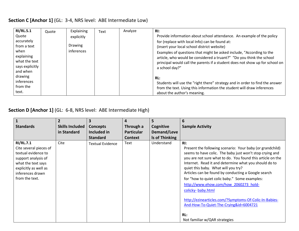#### **Section C [Anchor 1]** (GL: 3-4, NRS level: ABE Intermediate Low)

| <b>RI/RL.5.1</b> | Quote | Explaining     | Text | Analyze | RI:                                                                          |
|------------------|-------|----------------|------|---------|------------------------------------------------------------------------------|
| Quote            |       | explicitly     |      |         | Provide information about school attendance. An example of the policy        |
| accurately       |       |                |      |         | for (replace with local Info) can be found at:                               |
| from a text      |       | <b>Drawing</b> |      |         | (insert your local school district website)                                  |
| when             |       | inferences     |      |         | Examples of questions that might be asked include, "According to the         |
| explaining       |       |                |      |         | article, who would be considered a truant?" "Do you think the school         |
| what the text    |       |                |      |         | principal would call the parents if a student does not show up for school on |
| says explicitly  |       |                |      |         | a school day?"                                                               |
| and when         |       |                |      |         |                                                                              |
| drawing          |       |                |      |         | RL:                                                                          |
| inferences       |       |                |      |         | Students will use the "right there" strategy and in order to find the answer |
| from the         |       |                |      |         | from the text. Using this information the student will draw inferences       |
| text.            |       |                |      |         | about the author's meaning.                                                  |

**Section D [Anchor 1]** (GL: 6-8, NRS level: ABE Intermediate High)

|                                                                                                                                                                               | $\overline{2}$         | 3                       | 4                 | 5              | 6                                                                                                                                                                                                                                                                                                                                                                                                                                                                                                                                                                                                                |
|-------------------------------------------------------------------------------------------------------------------------------------------------------------------------------|------------------------|-------------------------|-------------------|----------------|------------------------------------------------------------------------------------------------------------------------------------------------------------------------------------------------------------------------------------------------------------------------------------------------------------------------------------------------------------------------------------------------------------------------------------------------------------------------------------------------------------------------------------------------------------------------------------------------------------------|
| <b>Standards</b>                                                                                                                                                              | <b>Skills Included</b> | <b>Concepts</b>         | Through a         | Cognitive      | <b>Sample Activity</b>                                                                                                                                                                                                                                                                                                                                                                                                                                                                                                                                                                                           |
|                                                                                                                                                                               | in Standard            | Included in             | <b>Particular</b> | Demand/Leve    |                                                                                                                                                                                                                                                                                                                                                                                                                                                                                                                                                                                                                  |
|                                                                                                                                                                               |                        | <b>Standard</b>         | <b>Context</b>    | Is of Thinking |                                                                                                                                                                                                                                                                                                                                                                                                                                                                                                                                                                                                                  |
| <b>RI/RL.7.1</b><br>Cite several pieces of<br>textual evidence to<br>support analysis of<br>what the text says<br>explicitly as well as<br>inferences drawn<br>from the text. | Cite                   | <b>Textual Evidence</b> | Text              | Understand     | $R!$ :<br>Present the following scenario: Your baby (or grandchild)<br>seems to have colic. The baby just won't stop crying and<br>you are not sure what to do. You found this article on the<br>Internet. Read it and determine what you should do to<br>quiet this baby. What will you try?<br>Articles can be found by conducting a Google search<br>for "how to quiet colic baby." Some examples:<br>http://www.ehow.com/how 2060273 hold-<br>colicky- baby.html<br>http://ezinearticles.com/?Symptoms-Of-Colic-In-Babies-<br>And-How-To-Quiet-The-Crying&id=6004721<br>RL:<br>Not familiar w/QAR strategies |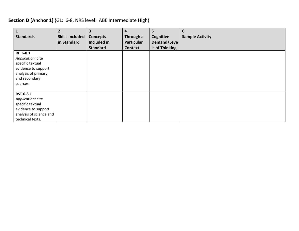## **Section D [Anchor 1]** (GL: 6-8, NRS level: ABE Intermediate High)

| $\mathbf{1}$                                                                                                                 | $\overline{2}$         | 3               | 4                 | 5              | 6                      |
|------------------------------------------------------------------------------------------------------------------------------|------------------------|-----------------|-------------------|----------------|------------------------|
| <b>Standards</b>                                                                                                             | <b>Skills Included</b> | <b>Concepts</b> | Through a         | Cognitive      | <b>Sample Activity</b> |
|                                                                                                                              | in Standard            | Included in     | <b>Particular</b> | Demand/Leve    |                        |
|                                                                                                                              |                        | <b>Standard</b> | <b>Context</b>    | Is of Thinking |                        |
| RH.6-8.1<br>Application: cite<br>specific textual<br>evidence to support<br>analysis of primary<br>and secondary<br>sources. |                        |                 |                   |                |                        |
| RST.6-8.1<br>Application: cite<br>specific textual<br>evidence to support<br>analysis of science and<br>technical texts.     |                        |                 |                   |                |                        |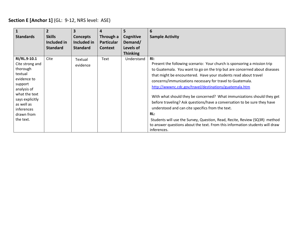## **Section E [Anchor 1]** (GL: 9-12, NRS level: ASE)

|                                                                                                                  | $\overline{2}$  | $\overline{\mathbf{3}}$ | 4                 | 5               | 6                                                                                                                                                                                                                                                                                                                                                                                                                                   |
|------------------------------------------------------------------------------------------------------------------|-----------------|-------------------------|-------------------|-----------------|-------------------------------------------------------------------------------------------------------------------------------------------------------------------------------------------------------------------------------------------------------------------------------------------------------------------------------------------------------------------------------------------------------------------------------------|
| <b>Standards</b>                                                                                                 | <b>Skills</b>   | <b>Concepts</b>         | Through a         | Cognitive       | <b>Sample Activity</b>                                                                                                                                                                                                                                                                                                                                                                                                              |
|                                                                                                                  | Included in     | Included in             | <b>Particular</b> | Demand/         |                                                                                                                                                                                                                                                                                                                                                                                                                                     |
|                                                                                                                  | <b>Standard</b> | <b>Standard</b>         | <b>Context</b>    | Levels of       |                                                                                                                                                                                                                                                                                                                                                                                                                                     |
|                                                                                                                  |                 |                         |                   | <b>Thinking</b> |                                                                                                                                                                                                                                                                                                                                                                                                                                     |
| RI/RL.9-10.1<br>Cite strong and<br>thorough<br>textual<br>evidence to<br>support<br>analysis of<br>what the text | Cite            | Textual<br>evidence     | Text              | Understand      | $R!$ :<br>Present the following scenario: Your church is sponsoring a mission trip<br>to Guatemala. You want to go on the trip but are concerned about diseases<br>that might be encountered. Have your students read about travel<br>concerns/immunizations necessary for travel to Guatemala.<br>http://wwwnc.cdc.gov/travel/destinations/guatemala.htm<br>With what should they be concerned? What immunizations should they get |
| says explicitly<br>as well as<br>inferences<br>drawn from                                                        |                 |                         |                   |                 | before traveling? Ask questions/have a conversation to be sure they have<br>understood and can cite specifics from the text.<br>RL:                                                                                                                                                                                                                                                                                                 |
| the text.                                                                                                        |                 |                         |                   |                 | Students will use the Survey, Question, Read, Recite, Review (SQ3R) method<br>to answer questions about the text. From this information students will draw<br>inferences.                                                                                                                                                                                                                                                           |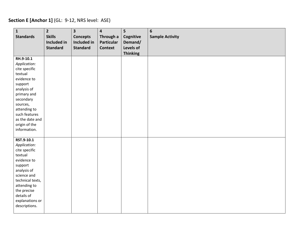## **Section E [Anchor 1]** (GL: 9-12, NRS level: ASE)

| $\mathbf{1}$             | $\overline{2}$  | $\overline{\mathbf{3}}$ | $\overline{\mathbf{4}}$ | 5               | $6\phantom{a}$         |
|--------------------------|-----------------|-------------------------|-------------------------|-----------------|------------------------|
| <b>Standards</b>         | <b>Skills</b>   | <b>Concepts</b>         | Through a               | Cognitive       | <b>Sample Activity</b> |
|                          | Included in     | Included in             | <b>Particular</b>       | Demand/         |                        |
|                          | <b>Standard</b> | <b>Standard</b>         | <b>Context</b>          | Levels of       |                        |
|                          |                 |                         |                         | <b>Thinking</b> |                        |
| RH.9-10.1                |                 |                         |                         |                 |                        |
| Application:             |                 |                         |                         |                 |                        |
| cite specific            |                 |                         |                         |                 |                        |
| textual                  |                 |                         |                         |                 |                        |
| evidence to              |                 |                         |                         |                 |                        |
| support                  |                 |                         |                         |                 |                        |
| analysis of              |                 |                         |                         |                 |                        |
| primary and              |                 |                         |                         |                 |                        |
| secondary                |                 |                         |                         |                 |                        |
| sources,                 |                 |                         |                         |                 |                        |
| attending to             |                 |                         |                         |                 |                        |
| such features            |                 |                         |                         |                 |                        |
| as the date and          |                 |                         |                         |                 |                        |
| origin of the            |                 |                         |                         |                 |                        |
| information.             |                 |                         |                         |                 |                        |
|                          |                 |                         |                         |                 |                        |
| RST.9-10.1               |                 |                         |                         |                 |                        |
| Application:             |                 |                         |                         |                 |                        |
| cite specific<br>textual |                 |                         |                         |                 |                        |
| evidence to              |                 |                         |                         |                 |                        |
| support                  |                 |                         |                         |                 |                        |
| analysis of              |                 |                         |                         |                 |                        |
| science and              |                 |                         |                         |                 |                        |
| technical texts,         |                 |                         |                         |                 |                        |
| attending to             |                 |                         |                         |                 |                        |
| the precise              |                 |                         |                         |                 |                        |
| details of               |                 |                         |                         |                 |                        |
| explanations or          |                 |                         |                         |                 |                        |
| descriptions.            |                 |                         |                         |                 |                        |
|                          |                 |                         |                         |                 |                        |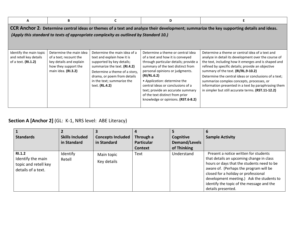| А                                                                                                                                                                                                                                | B                                                                                                                           |                                                                                                                                                                                                                                         | D                                                                                                                                                                                                                                                                                                                                                                                        |                                                                                                                                                                                                                                                                                                                                                                                                                                                                                 |  |  |  |  |
|----------------------------------------------------------------------------------------------------------------------------------------------------------------------------------------------------------------------------------|-----------------------------------------------------------------------------------------------------------------------------|-----------------------------------------------------------------------------------------------------------------------------------------------------------------------------------------------------------------------------------------|------------------------------------------------------------------------------------------------------------------------------------------------------------------------------------------------------------------------------------------------------------------------------------------------------------------------------------------------------------------------------------------|---------------------------------------------------------------------------------------------------------------------------------------------------------------------------------------------------------------------------------------------------------------------------------------------------------------------------------------------------------------------------------------------------------------------------------------------------------------------------------|--|--|--|--|
| CCR Anchor 2: Determine central ideas or themes of a text and analyze their development; summarize the key supporting details and ideas.<br>(Apply this standard to texts of appropriate complexity as outlined by Standard 10.) |                                                                                                                             |                                                                                                                                                                                                                                         |                                                                                                                                                                                                                                                                                                                                                                                          |                                                                                                                                                                                                                                                                                                                                                                                                                                                                                 |  |  |  |  |
| Identify the main topic<br>and retell key details<br>of a text. (RI.1.2)                                                                                                                                                         | Determine the main idea<br>of a text; recount the<br>key details and explain<br>how they support the<br>main idea. (RI.3.2) | Determine the main idea of a<br>text and explain how it is<br>supported by key details;<br>summarize the text. (RI.4.2)<br>Determine a theme of a story,<br>drama, or poem from details<br>in the text; summarize the<br>text. (RL.4.2) | Determine a theme or central idea<br>of a text and how it is conveyed<br>through particular details; provide a<br>summary of the text distinct from<br>personal opinions or judgments.<br>(RI/RL.6.2)<br>• Application: determine the<br>central ideas or conclusions of a<br>text; provide an accurate summary<br>of the text distinct from prior<br>knowledge or opinions. (RST.6-8.2) | Determine a theme or central idea of a text and<br>analyze in detail its development over the course of<br>the text, including how it emerges and is shaped and<br>refined by specific details; provide an objective<br>summary of the text. (RI/RL.9-10.2)<br>Determine the central ideas or conclusions of a text;<br>summarize complex concepts, processes, or<br>information presented in a text by paraphrasing them<br>in simpler but still accurate terms. (RST.11-12.2) |  |  |  |  |

# **Section A [Anchor 2]** (GL: K-1, NRS level: ABE Literacy)

| <b>Standards</b>                                                          | <b>Skills Included</b><br>in Standard | <b>Concepts Included</b><br>in Standard | Through a<br><b>Particular</b><br><b>Context</b> | Cognitive<br>Demand/Levels<br>of Thinking | <b>Sample Activity</b>                                                                                                                                                                                                                                                                                                            |
|---------------------------------------------------------------------------|---------------------------------------|-----------------------------------------|--------------------------------------------------|-------------------------------------------|-----------------------------------------------------------------------------------------------------------------------------------------------------------------------------------------------------------------------------------------------------------------------------------------------------------------------------------|
| RI.1.2<br>Identify the main<br>topic and retell key<br>details of a text. | Identify<br>Retell                    | Main topic<br>Key details               | Text                                             | Understand                                | Present a notice written for students<br>that details an upcoming change in class<br>hours or days that the students need to be<br>aware of. (Perhaps the program will be<br>closed for a holiday or professional<br>development meeting.) Ask the students to<br>identify the topic of the message and the<br>details presented. |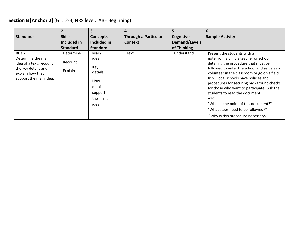| Section B [Anchor 2] (GL: 2-3, NRS level: ABE Beginning) |  |  |
|----------------------------------------------------------|--|--|
|----------------------------------------------------------|--|--|

| <b>Standards</b>                                                                                                                    | $\overline{2}$<br><b>Skills</b><br>Included in<br><b>Standard</b> | 3<br><b>Concepts</b><br>Included in<br><b>Standard</b>                             | 4<br><b>Through a Particular</b><br><b>Context</b> | 5.<br>Cognitive<br><b>Demand/Levels</b><br>of Thinking | 6<br><b>Sample Activity</b>                                                                                                                                                                                                                                                                                                                                                                                                                                                                                  |
|-------------------------------------------------------------------------------------------------------------------------------------|-------------------------------------------------------------------|------------------------------------------------------------------------------------|----------------------------------------------------|--------------------------------------------------------|--------------------------------------------------------------------------------------------------------------------------------------------------------------------------------------------------------------------------------------------------------------------------------------------------------------------------------------------------------------------------------------------------------------------------------------------------------------------------------------------------------------|
| <b>RI.3.2</b><br>Determine the main<br>idea of a text; recount<br>the key details and<br>explain how they<br>support the main idea. | Determine<br>Recount<br>Explain                                   | Main<br>idea<br>Key<br>details<br>How<br>details<br>support<br>the<br>main<br>idea | Text                                               | Understand                                             | Present the students with a<br>note from a child's teacher or school<br>detailing the procedure that must be<br>followed to enter the school and serve as a<br>volunteer in the classroom or go on a field<br>trip. Local schools have policies and<br>procedures for securing background checks<br>for those who want to participate. Ask the<br>students to read the document.<br>Ask:<br>"What is the point of this document?"<br>"What steps need to be followed?"<br>"Why is this procedure necessary?" |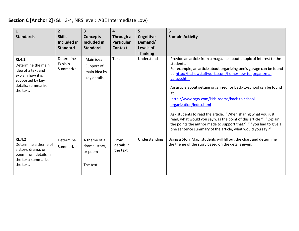## **Section C [Anchor 2]** (GL: 3-4, NRS level: ABE Intermediate Low)

| $\mathbf{1}$<br><b>Standards</b>                                                                                                      | $\overline{2}$<br><b>Skills</b><br><b>Included in</b><br><b>Standard</b> | $\overline{\mathbf{3}}$<br><b>Concepts</b><br>Included in<br><b>Standard</b> | 4<br>Through a<br><b>Particular</b><br><b>Context</b> | 5<br>Cognitive<br>Demand/<br>Levels of<br><b>Thinking</b> | 6<br><b>Sample Activity</b>                                                                                                                                                                                                                                                                                                                                                                                                                                                                                                                                                                                                                                        |
|---------------------------------------------------------------------------------------------------------------------------------------|--------------------------------------------------------------------------|------------------------------------------------------------------------------|-------------------------------------------------------|-----------------------------------------------------------|--------------------------------------------------------------------------------------------------------------------------------------------------------------------------------------------------------------------------------------------------------------------------------------------------------------------------------------------------------------------------------------------------------------------------------------------------------------------------------------------------------------------------------------------------------------------------------------------------------------------------------------------------------------------|
| <b>RI.4.2</b><br>Determine the main<br>idea of a text and<br>explain how it is<br>supported by key<br>details; summarize<br>the text. | Determine<br>Explain<br>Summarize                                        | Main idea<br>Support of<br>main idea by<br>key details                       | <b>Text</b>                                           | Understand                                                | Provide an article from a magazine about a topic of interest to the<br>students.<br>For example, an article about organizing one's garage can be found<br>at http://tlc.howstuffworks.com/home/how-to- organize-a-<br>garage.htm<br>An article about getting organized for back-to-school can be found<br>at<br>http://www.hgtv.com/kids-rooms/back-to-school-<br>organization/index.html<br>Ask students to read the article. "When sharing what you just<br>read, what would you say was the point of this article?" "Explain<br>the points the author made to support that." "If you had to give a<br>one sentence summary of the article, what would you say?" |
| <b>RL.4.2</b><br>Determine a theme of<br>a story, drama, or<br>poem from details in<br>the text; summarize<br>the text.               | Determine<br>Summarize                                                   | A theme of a<br>drama, story,<br>or poem<br>The text                         | From<br>details in<br>the text                        | Understanding                                             | Using a Story Map, students will fill out the chart and determine<br>the theme of the story based on the details given.                                                                                                                                                                                                                                                                                                                                                                                                                                                                                                                                            |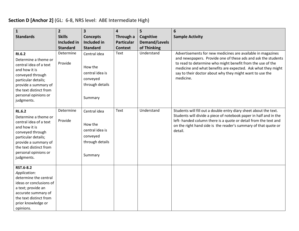#### **Section D [Anchor 2]** (GL: 6-8, NRS level: ABE Intermediate High)

| $\mathbf{1}$                                                                                                                                                                                                        | $\overline{2}$                      | $\overline{\mathbf{3}}$                                                              | $\overline{\mathbf{4}}$        | 5                                 | 6                                                                                                                                                                                                                                                                                                                                   |
|---------------------------------------------------------------------------------------------------------------------------------------------------------------------------------------------------------------------|-------------------------------------|--------------------------------------------------------------------------------------|--------------------------------|-----------------------------------|-------------------------------------------------------------------------------------------------------------------------------------------------------------------------------------------------------------------------------------------------------------------------------------------------------------------------------------|
| <b>Standards</b>                                                                                                                                                                                                    | <b>Skills</b><br><b>Included in</b> | <b>Concepts</b><br><b>Included in</b>                                                | Through a<br><b>Particular</b> | Cognitive<br><b>Demand/Levels</b> | <b>Sample Activity</b>                                                                                                                                                                                                                                                                                                              |
|                                                                                                                                                                                                                     | <b>Standard</b>                     | <b>Standard</b>                                                                      | <b>Context</b>                 | of Thinking                       |                                                                                                                                                                                                                                                                                                                                     |
| <b>RI.6.2</b><br>Determine a theme or<br>central idea of a text<br>and how it is<br>conveyed through<br>particular details;<br>provide a summary of<br>the text distinct from<br>personal opinions or<br>judgments. | Determine<br>Provide                | Central idea<br>How the<br>central idea is<br>conveyed<br>through details<br>Summary | Text                           | Understand                        | Advertisements for new medicines are available in magazines<br>and newspapers. Provide one of these ads and ask the students<br>to read to determine who might benefit from the use of the<br>medicine and what benefits are expected. Ask what they might<br>say to their doctor about why they might want to use the<br>medicine. |
| <b>RL.6.2</b><br>Determine a theme or<br>central idea of a text<br>and how it is<br>conveyed through<br>particular details;<br>provide a summary of<br>the text distinct from<br>personal opinions or<br>judgments. | Determine<br>Provide                | Central idea<br>How the<br>central idea is<br>conveyed<br>through details<br>Summary | Text                           | Understand                        | Students will fill out a double entry diary sheet about the text.<br>Students will divide a piece of notebook paper in half and in the<br>left- handed column there is a quote or detail from the text and<br>on the right hand side is the reader's summary of that quote or<br>detail.                                            |
| RST.6-8.2<br>Application:<br>determine the central<br>ideas or conclusions of<br>a text; provide an<br>accurate summary of<br>the text distinct from<br>prior knowledge or<br>opinions.                             |                                     |                                                                                      |                                |                                   |                                                                                                                                                                                                                                                                                                                                     |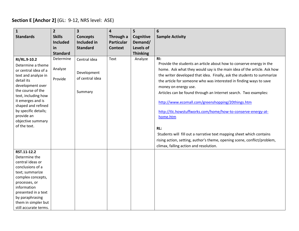## **Section E [Anchor 2]** (GL: 9-12, NRS level: ASE)

| $\mathbf{1}$                           | $\overline{2}$                   | $\overline{\mathbf{3}}$        | 4                              | $\overline{5}$       | 6                                                                        |
|----------------------------------------|----------------------------------|--------------------------------|--------------------------------|----------------------|--------------------------------------------------------------------------|
| <b>Standards</b>                       | <b>Skills</b><br><b>Included</b> | <b>Concepts</b><br>Included in | Through a<br><b>Particular</b> | Cognitive<br>Demand/ | <b>Sample Activity</b>                                                   |
|                                        | in                               | <b>Standard</b>                | <b>Context</b>                 | <b>Levels of</b>     |                                                                          |
|                                        | <b>Standard</b>                  |                                |                                | <b>Thinking</b>      |                                                                          |
| RI/RL.9-10.2                           | Determine                        | Central idea                   | Text                           | Analyze              | $R!$ :                                                                   |
| Determine a theme                      |                                  |                                |                                |                      | Provide the students an article about how to conserve energy in the      |
| or central idea of a                   | Analyze                          | Development                    |                                |                      | home. Ask what they would say is the main idea of the article. Ask how   |
| text and analyze in                    | Provide                          | of central idea                |                                |                      | the writer developed that idea. Finally, ask the students to summarize   |
| detail its<br>development over         |                                  |                                |                                |                      | the article for someone who was interested in finding ways to save       |
| the course of the                      |                                  | Summary                        |                                |                      | money on energy use.                                                     |
| text, including how                    |                                  |                                |                                |                      | Articles can be found through an Internet search. Two examples:          |
| it emerges and is                      |                                  |                                |                                |                      | http://www.ecomall.com/greenshopping/20things.htm                        |
| shaped and refined                     |                                  |                                |                                |                      |                                                                          |
| by specific details;<br>provide an     |                                  |                                |                                |                      | http://tlc.howstuffworks.com/home/how-to-conserve-energy-at-             |
| objective summary                      |                                  |                                |                                |                      | home.htm                                                                 |
| of the text.                           |                                  |                                |                                |                      |                                                                          |
|                                        |                                  |                                |                                |                      | RL:                                                                      |
|                                        |                                  |                                |                                |                      | Students will fill out a narrative text mapping sheet which contains     |
|                                        |                                  |                                |                                |                      | rising action, setting, author's theme, opening scene, conflict/problem, |
|                                        |                                  |                                |                                |                      | climax, falling action and resolution.                                   |
| RST.11-12.2<br>Determine the           |                                  |                                |                                |                      |                                                                          |
| central ideas or                       |                                  |                                |                                |                      |                                                                          |
| conclusions of a                       |                                  |                                |                                |                      |                                                                          |
| text; summarize                        |                                  |                                |                                |                      |                                                                          |
| complex concepts,                      |                                  |                                |                                |                      |                                                                          |
| processes, or                          |                                  |                                |                                |                      |                                                                          |
| information                            |                                  |                                |                                |                      |                                                                          |
| presented in a text<br>by paraphrasing |                                  |                                |                                |                      |                                                                          |
| them in simpler but                    |                                  |                                |                                |                      |                                                                          |
| still accurate terms.                  |                                  |                                |                                |                      |                                                                          |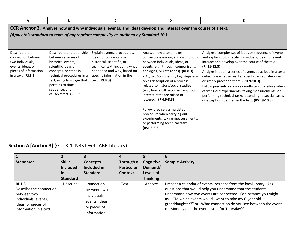| A                                                                                                                                                                                                        | B                                                                                                                                                                                                                                                | C                                                                                                                                                                                                     | D                                                                                                                                                                                                                                                                                                                                                                                                                                                                                                                                                    | E                                                                                                                                                                                                                                                                                                                                                                                                                                                                                                                                                                         |  |  |  |  |  |
|----------------------------------------------------------------------------------------------------------------------------------------------------------------------------------------------------------|--------------------------------------------------------------------------------------------------------------------------------------------------------------------------------------------------------------------------------------------------|-------------------------------------------------------------------------------------------------------------------------------------------------------------------------------------------------------|------------------------------------------------------------------------------------------------------------------------------------------------------------------------------------------------------------------------------------------------------------------------------------------------------------------------------------------------------------------------------------------------------------------------------------------------------------------------------------------------------------------------------------------------------|---------------------------------------------------------------------------------------------------------------------------------------------------------------------------------------------------------------------------------------------------------------------------------------------------------------------------------------------------------------------------------------------------------------------------------------------------------------------------------------------------------------------------------------------------------------------------|--|--|--|--|--|
| CCR Anchor 3: Analyze how and why individuals, events, and ideas develop and interact over the course of a text.<br>(Apply this standard to texts of appropriate complexity as outlined by Standard 10.) |                                                                                                                                                                                                                                                  |                                                                                                                                                                                                       |                                                                                                                                                                                                                                                                                                                                                                                                                                                                                                                                                      |                                                                                                                                                                                                                                                                                                                                                                                                                                                                                                                                                                           |  |  |  |  |  |
| Describe the<br>connection between<br>two individuals,<br>events, ideas, or<br>pieces of information<br>in a text. (RI.1.3)                                                                              | Describe the relationship<br>between a series of<br>historical events,<br>scientific ideas or<br>concepts, or steps in<br>technical procedures in a<br>text, using language that<br>pertains to time,<br>sequence, and<br>cause/effect. (RI.3.3) | Explain events, procedures,<br>ideas, or concepts in a<br>historical, scientific, or<br>technical text, including what<br>happened and why, based on<br>specific information in the<br>text. (RI.4.3) | Analyze how a text makes<br>connections among and distinctions<br>between individuals, ideas, or<br>events (e.g., through comparisons,<br>analogies, or categories). (RI.8.3)<br>• Application: identify key steps in a<br>text's description of a process<br>related to history/social studies<br>(e.g., how a bill becomes law, how<br>interest rates are raised or<br>lowered). (RH.6-8.3)<br>Follow precisely a multistep<br>procedure when carrying out<br>experiments, taking measurements,<br>or performing technical tasks.<br>$(RST.6-8.3)$ | Analyze a complex set of ideas or sequence of events<br>and explain how specific individuals, ideas, or events<br>interact and develop over the course of the text.<br>$(RI.11-12.3)$<br>Analyze in detail a series of events described in a text;<br>determine whether earlier events caused later ones<br>or simply preceded them. (RH.9-10.3)<br>Follow precisely a complex multistep procedure when<br>carrying out experiments, taking measurements, or<br>performing technical tasks, attending to special cases<br>or exceptions defined in the text. (RST.9-10.3) |  |  |  |  |  |

# **Section A [Anchor 3]** (GL: K-1, NRS level: ABE Literacy)

| <b>Standards</b>                              | <b>Skills</b>   | <b>Concepts</b> | Through a         | Cognitive       | <b>Sample Activity</b>                                                                                            |
|-----------------------------------------------|-----------------|-----------------|-------------------|-----------------|-------------------------------------------------------------------------------------------------------------------|
|                                               | <b>Included</b> | Included in     | <b>Particular</b> | Demand/         |                                                                                                                   |
|                                               | <u>in</u>       | <b>Standard</b> | <b>Context</b>    | Levels of       |                                                                                                                   |
|                                               | <b>Standard</b> |                 |                   | <b>Thinking</b> |                                                                                                                   |
| <b>RI.1.3</b>                                 | <b>Describe</b> | Connection      | Text              | Analyze         | Present a calendar of events, perhaps from the local library. Ask                                                 |
| Describe the connection                       |                 | between two     |                   |                 | questions that would help you understand that the students                                                        |
| between two                                   |                 | individuals,    |                   |                 | understand how two events are connected. For instance you might                                                   |
| individuals, events,                          |                 | events, ideas,  |                   |                 | ask, "To which events would I want to take my 6-year old                                                          |
| ideas, or pieces of<br>information in a text. |                 | or pieces of    |                   |                 | granddaughter?" or "What connection do you see between the event<br>on Monday and the event listed for Thursday?" |
|                                               |                 | information     |                   |                 |                                                                                                                   |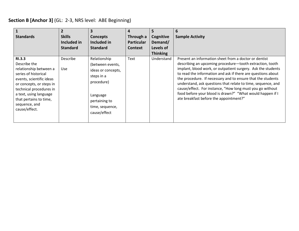## **Section B [Anchor 3]** (GL: 2-3, NRS level: ABE Beginning)

| <b>Standards</b>                                                                                                                                                                                                                                         | <b>Skills</b><br>Included in<br><b>Standard</b> | $\overline{\mathbf{3}}$<br><b>Concepts</b><br>Included in<br><b>Standard</b>                                                                       | 4<br>Through a<br><b>Particular</b><br><b>Context</b> | 5<br>Cognitive<br>Demand/<br>Levels of<br><b>Thinking</b> | <b>Sample Activity</b>                                                                                                                                                                                                                                                                                                                                                                                                                                                                                                                               |
|----------------------------------------------------------------------------------------------------------------------------------------------------------------------------------------------------------------------------------------------------------|-------------------------------------------------|----------------------------------------------------------------------------------------------------------------------------------------------------|-------------------------------------------------------|-----------------------------------------------------------|------------------------------------------------------------------------------------------------------------------------------------------------------------------------------------------------------------------------------------------------------------------------------------------------------------------------------------------------------------------------------------------------------------------------------------------------------------------------------------------------------------------------------------------------------|
| <b>RI.3.3</b><br>Describe the<br>relationship between a<br>series of historical<br>events, scientific ideas<br>or concepts, or steps in<br>technical procedures in<br>a text, using language<br>that pertains to time,<br>sequence, and<br>cause/effect. | <b>Describe</b><br>Use                          | Relationship<br>(between events,<br>ideas or concepts,<br>steps in a<br>procedure)<br>Language<br>pertaining to<br>time, sequence,<br>cause/effect | Text                                                  | Understand                                                | Present an information sheet from a doctor or dentist<br>describing an upcoming procedure-tooth extraction, tooth<br>implant, blood work, or outpatient surgery. Ask the students<br>to read the information and ask if there are questions about<br>the procedure. If necessary and to ensure that the students<br>understand, ask questions that relate to time, sequence, and<br>cause/effect. For instance, "How long must you go without<br>food before your blood is drawn?" "What would happen if I<br>ate breakfast before the appointment?" |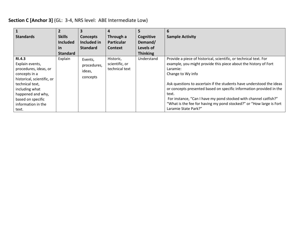## **Section C [Anchor 3]** (GL: 3-4, NRS level: ABE Intermediate Low)

| <b>Standards</b>                                                                                                                                                                                                       | <b>Skills</b><br><b>Included</b><br><u>in</u><br><b>Standard</b> | 3<br><b>Concepts</b><br>Included in<br><b>Standard</b> | 4<br>Through a<br><b>Particular</b><br><b>Context</b> | 5<br>Cognitive<br>Demand/<br>Levels of<br><b>Thinking</b> | 6<br><b>Sample Activity</b>                                                                                                                                                                                                                                                                                                                                                                                                                                                                       |
|------------------------------------------------------------------------------------------------------------------------------------------------------------------------------------------------------------------------|------------------------------------------------------------------|--------------------------------------------------------|-------------------------------------------------------|-----------------------------------------------------------|---------------------------------------------------------------------------------------------------------------------------------------------------------------------------------------------------------------------------------------------------------------------------------------------------------------------------------------------------------------------------------------------------------------------------------------------------------------------------------------------------|
| <b>RI.4.3</b><br>Explain events,<br>procedures, ideas, or<br>concepts in a<br>historical, scientific, or<br>technical text,<br>including what<br>happened and why,<br>based on specific<br>information in the<br>text. | Explain                                                          | Events,<br>procedures,<br>ideas,<br>concepts           | Historic,<br>scientific, or<br>technical text         | Understand                                                | Provide a piece of historical, scientific, or technical text. For<br>example, you might provide this piece about the history of Fort<br>Laramie:<br>Change to Wy info<br>Ask questions to ascertain if the students have understood the ideas<br>or concepts presented based on specific information provided in the<br>text.<br>For instance, "Can I have my pond stocked with channel catfish?"<br>"What is the fee for having my pond stocked?" or "How large is Fort"<br>Laramie State Park?" |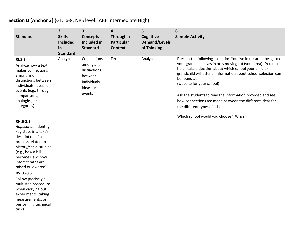## **Section D [Anchor 3]** (GL: 6-8, NRS level: ABE intermediate High)

| $\mathbf{1}$<br><b>Standards</b>                                                                                                                                                                                     | $\overline{2}$<br><b>Skills</b><br><b>Included</b><br>in<br><b>Standard</b> | $\overline{\mathbf{3}}$<br><b>Concepts</b><br><b>Included in</b><br><b>Standard</b>        | 4<br>Through a<br><b>Particular</b><br><b>Context</b> | 5<br>Cognitive<br><b>Demand/Levels</b><br>of Thinking | 6<br><b>Sample Activity</b>                                                                                                                                                                                                                                                                                                                                                                                                                                                                                   |
|----------------------------------------------------------------------------------------------------------------------------------------------------------------------------------------------------------------------|-----------------------------------------------------------------------------|--------------------------------------------------------------------------------------------|-------------------------------------------------------|-------------------------------------------------------|---------------------------------------------------------------------------------------------------------------------------------------------------------------------------------------------------------------------------------------------------------------------------------------------------------------------------------------------------------------------------------------------------------------------------------------------------------------------------------------------------------------|
| <b>RI.8.3</b><br>Analyze how a text<br>makes connections<br>among and<br>distinctions between<br>individuals, ideas, or<br>events (e.g., through<br>comparisons,<br>analogies, or<br>categories).                    | Analyze                                                                     | Connections<br>among and<br>distinctions<br>between<br>individuals,<br>ideas, or<br>events | Text                                                  | Analyze                                               | Present the following scenario: You live in (or are moving to or<br>your grandchild lives in or is moving to) (your area). You must<br>help make a decision about which school your child or<br>grandchild will attend. Information about school selection can<br>be found at<br>(website for your school)<br>Ask the students to read the information provided and see<br>how connections are made between the different ideas for<br>the different types of schools.<br>Which school would you choose? Why? |
| RH.6-8.3<br>Application: identify<br>key steps in a text's<br>description of a<br>process related to<br>history/social studies<br>(e.g., how a bill<br>becomes law, how<br>interest rates are<br>raised or lowered). |                                                                             |                                                                                            |                                                       |                                                       |                                                                                                                                                                                                                                                                                                                                                                                                                                                                                                               |
| RST.6-8.3<br>Follow precisely a<br>multistep procedure<br>when carrying out<br>experiments, taking<br>measurements, or<br>performing technical<br>tasks.                                                             |                                                                             |                                                                                            |                                                       |                                                       |                                                                                                                                                                                                                                                                                                                                                                                                                                                                                                               |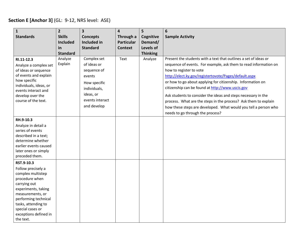#### **Section E [Anchor 3]** (GL: 9-12, NRS level: ASE)

| $\mathbf{1}$<br><b>Standards</b>                                                                                                                                                                                                            | $\overline{2}$<br><b>Skills</b><br><b>Included</b> | $\overline{\mathbf{3}}$<br><b>Concepts</b><br><b>Included in</b>                                                                   | $\overline{\mathbf{4}}$<br>Through a<br><b>Particular</b> | 5<br>Cognitive<br>Demand/    | $6\phantom{1}6$<br><b>Sample Activity</b>                                                                                                                                                                                                                                                                                                                                                                                                                                                                                                                                              |
|---------------------------------------------------------------------------------------------------------------------------------------------------------------------------------------------------------------------------------------------|----------------------------------------------------|------------------------------------------------------------------------------------------------------------------------------------|-----------------------------------------------------------|------------------------------|----------------------------------------------------------------------------------------------------------------------------------------------------------------------------------------------------------------------------------------------------------------------------------------------------------------------------------------------------------------------------------------------------------------------------------------------------------------------------------------------------------------------------------------------------------------------------------------|
|                                                                                                                                                                                                                                             | in<br><b>Standard</b>                              | <b>Standard</b>                                                                                                                    | <b>Context</b>                                            | Levels of<br><b>Thinking</b> |                                                                                                                                                                                                                                                                                                                                                                                                                                                                                                                                                                                        |
| RI.11-12.3<br>Analyze a complex set<br>of ideas or sequence<br>of events and explain<br>how specific<br>individuals, ideas, or<br>events interact and<br>develop over the<br>course of the text.                                            | Analyze<br>Explain                                 | Complex set<br>of ideas or<br>sequence of<br>events<br>How specific<br>individuals,<br>ideas, or<br>events interact<br>and develop | Text                                                      | Analyze                      | Present the students with a text that outlines a set of ideas or<br>sequence of events. For example, ask them to read information on<br>how to register to vote<br>http://elect.ky.gov/registertovote/Pages/default.aspx<br>or how to go about applying for citizenship. Information on<br>citizenship can be found at http://www.uscis.gov<br>Ask students to consider the ideas and steps necessary in the<br>process. What are the steps in the process? Ask them to explain<br>how these steps are developed. What would you tell a person who<br>needs to go through the process? |
| RH.9-10.3<br>Analyze in detail a<br>series of events<br>described in a text;<br>determine whether<br>earlier events caused<br>later ones or simply<br>preceded them.                                                                        |                                                    |                                                                                                                                    |                                                           |                              |                                                                                                                                                                                                                                                                                                                                                                                                                                                                                                                                                                                        |
| RST.9-10.3<br>Follow precisely a<br>complex multistep<br>procedure when<br>carrying out<br>experiments, taking<br>measurements, or<br>performing technical<br>tasks, attending to<br>special cases or<br>exceptions defined in<br>the text. |                                                    |                                                                                                                                    |                                                           |                              |                                                                                                                                                                                                                                                                                                                                                                                                                                                                                                                                                                                        |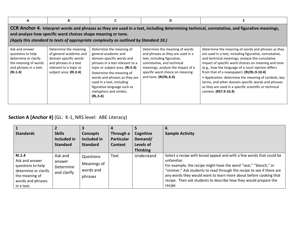| A                                                                                                                                                                                                                                                                                                    | В                                                                                                                                                      |                                                                                                                                                                                                                                                                                                                    | D                                                                                                                                                                                                                                 |                                                                                                                                                                                                                                                                                                                                                                                                                                                                                                                           |  |  |  |  |  |
|------------------------------------------------------------------------------------------------------------------------------------------------------------------------------------------------------------------------------------------------------------------------------------------------------|--------------------------------------------------------------------------------------------------------------------------------------------------------|--------------------------------------------------------------------------------------------------------------------------------------------------------------------------------------------------------------------------------------------------------------------------------------------------------------------|-----------------------------------------------------------------------------------------------------------------------------------------------------------------------------------------------------------------------------------|---------------------------------------------------------------------------------------------------------------------------------------------------------------------------------------------------------------------------------------------------------------------------------------------------------------------------------------------------------------------------------------------------------------------------------------------------------------------------------------------------------------------------|--|--|--|--|--|
| CCR Anchor 4: Interpret words and phrases as they are used in a text, including determining technical, connotative, and figurative meanings,<br>and analyze how specific word choices shape meaning or tone.<br>(Apply this standard to texts of appropriate complexity as outlined by Standard 10.) |                                                                                                                                                        |                                                                                                                                                                                                                                                                                                                    |                                                                                                                                                                                                                                   |                                                                                                                                                                                                                                                                                                                                                                                                                                                                                                                           |  |  |  |  |  |
| Ask and answer<br>questions to help<br>determine or clarify<br>the meaning of words<br>and phrases in a text.<br>(RI.1.4)                                                                                                                                                                            | Determine the meaning<br>of general academic and<br>domain-specific words<br>and phrases in a text<br>relevant to a topic or<br>subject area. (RI.3.4) | Determine the meaning of<br>general academic and<br>domain-specific words and<br>phrases in a text relevant to a<br>topic or subject area. (RI.5.4)<br>Determine the meaning of<br>words and phrases as they are<br>used in a text, including<br>figurative language such as<br>metaphors and similes.<br>(RL.5.4) | Determine the meaning of words<br>and phrases as they are used in a<br>text, including figurative,<br>connotative, and technical<br>meanings; analyze the impact of a<br>specific word choice on meaning<br>and tone. (RI/RL.6.4) | Determine the meaning of words and phrases as they<br>are used in a text, including figurative, connotative,<br>and technical meanings; analyze the cumulative<br>impact of specific word choices on meaning and tone<br>(e.g., how the language of a court opinion differs<br>from that of a newspaper). (RI/RL.9-10.4)<br>• Application: determine the meaning of symbols, key<br>terms, and other domain-specific words and phrases<br>as they are used in a specific scientific or technical<br>context. (RST.9-10.4) |  |  |  |  |  |

## **Section A [Anchor 4]** (GL: K-1, NRS level: ABE Literacy)

| <b>Standards</b>                                                                                                           | <b>Skills</b><br>Included in<br><b>Standard</b> | <b>Concepts</b><br>Included in<br><b>Standard</b> | Through a<br><b>Particular</b><br><b>Context</b> | Cognitive<br>Demand/<br>Levels of<br><b>Thinking</b> | <b>Sample Activity</b>                                                                                                                                                                                                                                                                                                                                                               |
|----------------------------------------------------------------------------------------------------------------------------|-------------------------------------------------|---------------------------------------------------|--------------------------------------------------|------------------------------------------------------|--------------------------------------------------------------------------------------------------------------------------------------------------------------------------------------------------------------------------------------------------------------------------------------------------------------------------------------------------------------------------------------|
| RI.1.4<br>Ask and answer<br>questions to help<br>determine or clarify<br>the meaning of<br>words and phrases<br>in a text. | Ask and<br>answer<br>Determine<br>and clarify   | Questions<br>Meanings of<br>words and<br>phrases  | Text                                             | Understand                                           | Select a recipe with broad appeal and with a few words that could be<br>unfamiliar.<br>For example, the recipe might have the word "sear," "blanch," or<br>"simmer." Ask students to read through the recipe to see if there are<br>any words they would want to learn more about before cooking that<br>recipe. Then ask students to describe how they would prepare the<br>recipe. |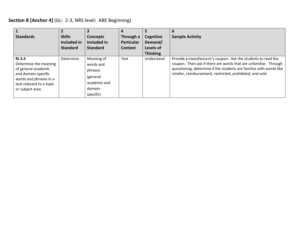## **Section B [Anchor 4]** (GL: 2-3, NRS level: ABE Beginning)

| <b>Standards</b>                                                                                                                                               | <b>Skills</b><br>Included in<br><b>Standard</b> | <b>Concepts</b><br>Included in<br><b>Standard</b>                                      | 4<br>Through a<br><b>Particular</b><br><b>Context</b> | Cognitive<br>Demand/<br>Levels of<br><b>Thinking</b> | 6<br><b>Sample Activity</b>                                                                                                                                                                                                                                            |
|----------------------------------------------------------------------------------------------------------------------------------------------------------------|-------------------------------------------------|----------------------------------------------------------------------------------------|-------------------------------------------------------|------------------------------------------------------|------------------------------------------------------------------------------------------------------------------------------------------------------------------------------------------------------------------------------------------------------------------------|
| <b>RI.3.4</b><br>Determine the meaning<br>of general academic<br>and domain-specific<br>words and phrases in a<br>text relevant to a topic<br>or subject area. | Determine                                       | Meaning of<br>words and<br>phrases<br>(general<br>academic and<br>domain-<br>specific) | Text                                                  | Understand                                           | Provide a manufacturer's coupon. Ask the students to read the<br>coupon. Then ask if there are words that are unfamiliar. Through<br>questioning, determine if the students are familiar with words like<br>retailer, reimbursement, restricted, prohibited, and void. |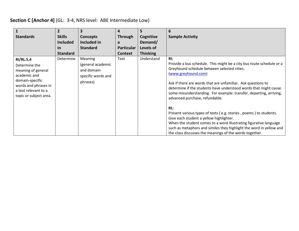## **Section C [Anchor 4]** (GL: 3-4, NRS level: ABE Intermediate Low)

| <b>Standards</b>                                                                                                                                                     | $\overline{2}$<br><b>Skills</b><br><b>Included</b><br>in<br><b>Standard</b> | $\overline{\mathbf{3}}$<br><b>Concepts</b><br>Included in<br><b>Standard</b>         | 4<br><b>Through</b><br>a<br><b>Particular</b><br><b>Context</b> | 5<br>Cognitive<br>Demand/<br>Levels of<br><b>Thinking</b> | 6<br><b>Sample Activity</b>                                                                                                                                                                                                                                                                                                                                                                                                                                                                                                                                                                                                                                                                                                    |
|----------------------------------------------------------------------------------------------------------------------------------------------------------------------|-----------------------------------------------------------------------------|--------------------------------------------------------------------------------------|-----------------------------------------------------------------|-----------------------------------------------------------|--------------------------------------------------------------------------------------------------------------------------------------------------------------------------------------------------------------------------------------------------------------------------------------------------------------------------------------------------------------------------------------------------------------------------------------------------------------------------------------------------------------------------------------------------------------------------------------------------------------------------------------------------------------------------------------------------------------------------------|
| <b>RI/RL.5.4</b><br>Determine the<br>meaning of general<br>academic and<br>domain-specific<br>words and phrases in<br>a text relevant to a<br>topic or subject area. | Determine                                                                   | <b>Meaning</b><br>(general academic<br>and domain-<br>specific words and<br>phrases) | Text                                                            | Understand                                                | $R!$ :<br>Provide a bus schedule. This might be a city bus route schedule or a<br>Greyhound schedule between selected cities.<br>(www.greyhound.com)<br>Ask if there are words that are unfamiliar. Ask questions to<br>determine if the students have understood words that might cause<br>some misunderstanding. For example: transfer, departing, arriving,<br>advanced purchase, refundable.<br>RL:<br>Present various types of texts (e.g. stories, poems) to students.<br>Give each student a yellow highlighter.<br>When the student comes to a word illustrating figurative language<br>such as metaphors and similes they highlight the word in yellow and<br>the class discusses the meanings of the words together. |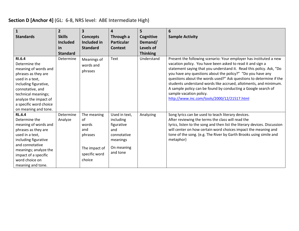## **Section D [Anchor 4]** (GL: 6-8, NRS level: ABE Intermediate High)

| 1<br><b>Standards</b>                                                                                                                                                                                                                    | $\overline{2}$<br><b>Skills</b><br><b>Included</b><br>in<br><b>Standard</b> | $\overline{\mathbf{3}}$<br><b>Concepts</b><br>Included in<br><b>Standard</b>             | 4<br>Through a<br><b>Particular</b><br>Context                                                       | 5<br>Cognitive<br>Demand/<br>Levels of<br><b>Thinking</b> | 6<br><b>Sample Activity</b>                                                                                                                                                                                                                                                                                                                                                                                                                                                                                                                                |
|------------------------------------------------------------------------------------------------------------------------------------------------------------------------------------------------------------------------------------------|-----------------------------------------------------------------------------|------------------------------------------------------------------------------------------|------------------------------------------------------------------------------------------------------|-----------------------------------------------------------|------------------------------------------------------------------------------------------------------------------------------------------------------------------------------------------------------------------------------------------------------------------------------------------------------------------------------------------------------------------------------------------------------------------------------------------------------------------------------------------------------------------------------------------------------------|
| RI.6.4<br>Determine the<br>meaning of words and<br>phrases as they are<br>used in a text,<br>including figurative,<br>connotative, and<br>technical meanings;<br>analyze the impact of<br>a specific word choice<br>on meaning and tone. | Determine                                                                   | Meanings of<br>words and<br>phrases                                                      | Text                                                                                                 | Understand                                                | Present the following scenario: Your employer has instituted a new<br>vacation policy. You have been asked to read it and sign a<br>statement saying that you understand it. Read this policy. Ask, "Do<br>you have any questions about the policy?" "Do you have any<br>questions about the words used?" Ask questions to determine if the<br>students understand words like accrued, allotments, and minimum.<br>A sample policy can be found by conducting a Google search of<br>sample vacation policy.<br>http://www.inc.com/tools/2000/12/21517.html |
| <b>RL.6.4</b><br>Determine the<br>meaning of words and<br>phrases as they are<br>used in a text,<br>including figurative<br>and connotative<br>meanings; analyze the<br>impact of a specific<br>word choice on<br>meaning and tone.      | Determine<br>Analyze                                                        | The meaning<br>0f<br>words<br>and<br>phrases<br>The impact of<br>specific word<br>choice | Used in text,<br>including<br>figurative<br>and<br>connotative<br>meanings<br>On meaning<br>and tone | Analyzing                                                 | Song lyrics can be used to teach literary devices.<br>After reviewing the terms the class will read the<br>lyrics, listen to the song and then list the literary devices. Discussion<br>will center on how certain word choices impact the meaning and<br>tone of the song. (e.g. The River by Garth Brooks using simile and<br>metaphor)                                                                                                                                                                                                                  |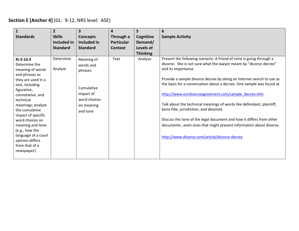#### **Section E [Anchor 4]** (GL: 9-12, NRS level: ASE)

| 1<br><b>Standards</b>                                                                                                                                                                                                                                                                                                                                      | $\overline{2}$<br><b>Skills</b><br>Included in<br><b>Standard</b> | $\overline{\mathbf{3}}$<br>Concepts<br>Included in<br><b>Standard</b>                                   | 4<br>Through a<br><b>Particular</b><br><b>Context</b> | 5<br>Cognitive<br>Demand/<br>Levels of<br><b>Thinking</b> | 6<br><b>Sample Activity</b>                                                                                                                                                                                                                                                                                                                                                                                                                                                                                                                                                                                                                                                               |
|------------------------------------------------------------------------------------------------------------------------------------------------------------------------------------------------------------------------------------------------------------------------------------------------------------------------------------------------------------|-------------------------------------------------------------------|---------------------------------------------------------------------------------------------------------|-------------------------------------------------------|-----------------------------------------------------------|-------------------------------------------------------------------------------------------------------------------------------------------------------------------------------------------------------------------------------------------------------------------------------------------------------------------------------------------------------------------------------------------------------------------------------------------------------------------------------------------------------------------------------------------------------------------------------------------------------------------------------------------------------------------------------------------|
| RI.9-10.4<br>Determine the<br>meaning of words<br>and phrases as<br>they are used in a<br>text, including<br>figurative,<br>connotative, and<br>technical<br>meanings; analyze<br>the cumulative<br>impact of specific<br>word choices on<br>meaning and tone<br>(e.g., how the<br>language of a court<br>opinion differs<br>from that of a<br>newspaper). | Determine<br>Analyze                                              | Meaning of<br>words and<br>phrases<br>Cumulative<br>impact of<br>word choices<br>on meaning<br>and tone | Text                                                  | Analyze                                                   | Present the following scenario: A friend of mine is going through a<br>divorce. She is not sure what the lawyer meant by "divorce decree"<br>and its importance.<br>Provide a sample divorce decree by doing an Internet search to use as<br>the basis for a conversation about a decree. One sample was found at<br>http://www.ourdivorceagreement.com/sample_decree.htm<br>Talk about the technical meanings of words like defendant, plaintiff,<br>bona fide, jurisdiction, and absolute.<br>Discuss the tone of the legal document and how it differs from other<br>documentseven ones that might present information about divorce.<br>http://www.divorce.com/article/divorce-decree |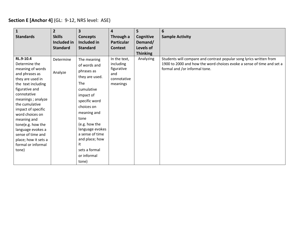## **Section E [Anchor 4]** (GL: 9-12, NRS level: ASE)

| $\mathbf{1}$<br><b>Standards</b>                                                                                                                                                                                                                                                                                                                                 | $\overline{2}$<br><b>Skills</b><br>Included in<br><b>Standard</b> | $\overline{\mathbf{3}}$<br><b>Concepts</b><br>Included in<br><b>Standard</b>                                                                                                                                                                                                | 4<br>Through a<br><b>Particular</b><br><b>Context</b>                     | 5<br>Cognitive<br>Demand/<br><b>Levels of</b><br><b>Thinking</b> | 6<br><b>Sample Activity</b>                                                                                                                                                   |
|------------------------------------------------------------------------------------------------------------------------------------------------------------------------------------------------------------------------------------------------------------------------------------------------------------------------------------------------------------------|-------------------------------------------------------------------|-----------------------------------------------------------------------------------------------------------------------------------------------------------------------------------------------------------------------------------------------------------------------------|---------------------------------------------------------------------------|------------------------------------------------------------------|-------------------------------------------------------------------------------------------------------------------------------------------------------------------------------|
| RL.9-10.4<br>Determine the<br>meaning of words<br>and phrases as<br>they are used in<br>the text including<br>figurative and<br>connotative<br>meanings; analyze<br>the cumulative<br>impact of specific<br>word choices on<br>meaning and<br>tone(e.g. how the<br>language evokes a<br>sense of time and<br>place; how it sets a<br>formal or informal<br>tone) | Determine<br>Analyze                                              | The meaning<br>of words and<br>phrases as<br>they are used.<br>The<br>cumulative<br>impact of<br>specific word<br>choices on<br>meaning and<br>tone<br>(e.g. how the<br>language evokes<br>a sense of time<br>and place; how<br>it<br>sets a formal<br>or informal<br>tone) | In the text,<br>including<br>figurative<br>and<br>connotative<br>meanings | Analyzing                                                        | Students will compare and contrast popular song lyrics written from<br>1900 to 2000 and how the word choices evoke a sense of time and set a<br>formal and /or informal tone. |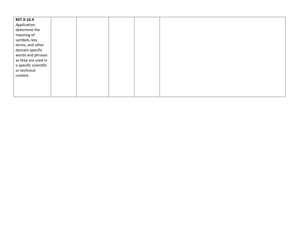| RST.9-10.4            |  |  |  |  |
|-----------------------|--|--|--|--|
| Application:          |  |  |  |  |
| determine the         |  |  |  |  |
| meaning of            |  |  |  |  |
| symbols, key          |  |  |  |  |
| terms, and other      |  |  |  |  |
| domain-specific       |  |  |  |  |
| words and phrases     |  |  |  |  |
| as they are used in   |  |  |  |  |
| a specific scientific |  |  |  |  |
| or technical          |  |  |  |  |
| context.              |  |  |  |  |
|                       |  |  |  |  |
|                       |  |  |  |  |
|                       |  |  |  |  |
|                       |  |  |  |  |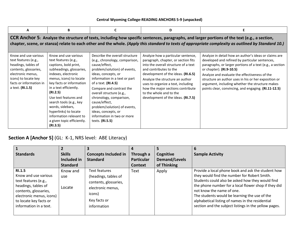#### **Central Wyoming College-READING ANCHORS 5-9 (unpacked)**

| A                                                                                                                                                                                                                                                                                                    | B                                                                                                                                                                                                                                                                                                                                                                                           |                                                                                                                                                                                                                                                                                                                                                                                                              | D                                                                                                                                                                                                                                                                                                                                                                |                                                                                                                                                                                                                                                                                                                                                                                                                      |  |  |  |  |  |  |
|------------------------------------------------------------------------------------------------------------------------------------------------------------------------------------------------------------------------------------------------------------------------------------------------------|---------------------------------------------------------------------------------------------------------------------------------------------------------------------------------------------------------------------------------------------------------------------------------------------------------------------------------------------------------------------------------------------|--------------------------------------------------------------------------------------------------------------------------------------------------------------------------------------------------------------------------------------------------------------------------------------------------------------------------------------------------------------------------------------------------------------|------------------------------------------------------------------------------------------------------------------------------------------------------------------------------------------------------------------------------------------------------------------------------------------------------------------------------------------------------------------|----------------------------------------------------------------------------------------------------------------------------------------------------------------------------------------------------------------------------------------------------------------------------------------------------------------------------------------------------------------------------------------------------------------------|--|--|--|--|--|--|
| CCR Anchor 5: Analyze the structure of texts, including how specific sentences, paragraphs, and larger portions of the text (e.g., a section,<br>chapter, scene, or stanza) relate to each other and the whole. (Apply this standard to texts of appropriate complexity as outlined by Standard 10.) |                                                                                                                                                                                                                                                                                                                                                                                             |                                                                                                                                                                                                                                                                                                                                                                                                              |                                                                                                                                                                                                                                                                                                                                                                  |                                                                                                                                                                                                                                                                                                                                                                                                                      |  |  |  |  |  |  |
| Know and use various<br>text features (e.g.,<br>headings, tables of<br>contents, glossaries,<br>electronic menus,<br>icons) to locate key<br>facts or information in<br>a text. (RI.1.5)                                                                                                             | Know and use various<br>text features (e.g.,<br>captions, bold print,<br>subheadings, glossaries,<br>indexes, electronic<br>menus, icons) to locate<br>key facts or information<br>in a text efficiently.<br>(RI.2.5)<br>Use text features and<br>search tools (e.g., key<br>words, sidebars,<br>hyperlinks) to locate<br>information relevant to<br>a given topic efficiently.<br>(RI.3.5) | Describe the overall structure<br>(e.g., chronology, comparison,<br>cause/effect,<br>problem/solution) of events,<br>ideas, concepts, or<br>information in a text or part<br>of a text. (RI.4.5)<br>Compare and contrast the<br>overall structure (e.g.,<br>chronology, comparison,<br>cause/effect,<br>problem/solution) of events,<br>ideas, concepts, or<br>information in two or more<br>texts. (RI.5.5) | Analyze how a particular sentence,<br>paragraph, chapter, or section fits<br>into the overall structure of a text<br>and contributes to the<br>development of the ideas. (RI.6.5)<br>Analyze the structure an author<br>uses to organize a text, including<br>how the major sections contribute<br>to the whole and to the<br>development of the ideas. (RI.7.5) | Analyze in detail how an author's ideas or claims are<br>developed and refined by particular sentences,<br>paragraphs, or larger portions of a text (e.g., a section<br>or chapter). (RI.9-10.5)<br>Analyze and evaluate the effectiveness of the<br>structure an author uses in his or her exposition or<br>argument, including whether the structure makes<br>points clear, convincing, and engaging. (RI.11-12.5) |  |  |  |  |  |  |

**Section A [Anchor 5]** (GL: K-1, NRS level: ABE Literacy)

| $\mathbf{1}$                                                                                                                                                                                  |                           | 3                                                                                                                            |                   |                      | 6                                                                                                                                                                                                                                                                                                                                                                                                         |
|-----------------------------------------------------------------------------------------------------------------------------------------------------------------------------------------------|---------------------------|------------------------------------------------------------------------------------------------------------------------------|-------------------|----------------------|-----------------------------------------------------------------------------------------------------------------------------------------------------------------------------------------------------------------------------------------------------------------------------------------------------------------------------------------------------------------------------------------------------------|
| <b>Standards</b>                                                                                                                                                                              | <b>Skills</b>             | <b>Concepts Included in</b>                                                                                                  | Through a         | Cognitive            | <b>Sample Activity</b>                                                                                                                                                                                                                                                                                                                                                                                    |
|                                                                                                                                                                                               | Included in               | <b>Standard</b>                                                                                                              | <b>Particular</b> | <b>Demand/Levels</b> |                                                                                                                                                                                                                                                                                                                                                                                                           |
|                                                                                                                                                                                               | <b>Standard</b>           |                                                                                                                              | <b>Context</b>    | of Thinking          |                                                                                                                                                                                                                                                                                                                                                                                                           |
| <b>RI.1.5</b><br>Know and use various<br>text features (e.g.,<br>headings, tables of<br>contents, glossaries,<br>electronic menus, icons)<br>to locate key facts or<br>information in a text. | Know and<br>use<br>Locate | Text features<br>(headings, tables of<br>contents, glossaries,<br>electronic menus,<br>icons)<br>Key facts or<br>information | Text              | Apply                | Provide a local phone book and ask the student how<br>they would find the number for Robert Smith.<br>Students could also be asked how they would find<br>the phone number for a local flower shop if they did<br>not know the name of one.<br>The students would be learning the use of the<br>alphabetical listing of names in the residential<br>section and the subject listings in the yellow pages. |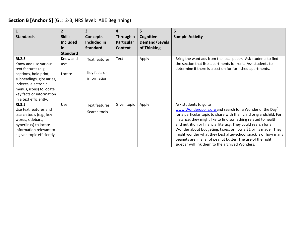## **Section B [Anchor 5]** (GL: 2-3, NRS level: ABE Beginning)

|                                                                                                                                                                                                                            | $\overline{2}$                   | 3                                            | 4                              | 5                                 | 6                                                                                                                                                                                                                                                                                                                                                                                                                                                                                                                                             |
|----------------------------------------------------------------------------------------------------------------------------------------------------------------------------------------------------------------------------|----------------------------------|----------------------------------------------|--------------------------------|-----------------------------------|-----------------------------------------------------------------------------------------------------------------------------------------------------------------------------------------------------------------------------------------------------------------------------------------------------------------------------------------------------------------------------------------------------------------------------------------------------------------------------------------------------------------------------------------------|
| <b>Standards</b>                                                                                                                                                                                                           | <b>Skills</b><br><b>Included</b> | <b>Concepts</b><br>Included in               | Through a<br><b>Particular</b> | Cognitive<br><b>Demand/Levels</b> | <b>Sample Activity</b>                                                                                                                                                                                                                                                                                                                                                                                                                                                                                                                        |
|                                                                                                                                                                                                                            | <u>in</u>                        | <b>Standard</b>                              | <b>Context</b>                 | of Thinking                       |                                                                                                                                                                                                                                                                                                                                                                                                                                                                                                                                               |
|                                                                                                                                                                                                                            | <b>Standard</b>                  |                                              |                                |                                   |                                                                                                                                                                                                                                                                                                                                                                                                                                                                                                                                               |
| <b>RI.2.5</b><br>Know and use various<br>text features (e.g.,<br>captions, bold print,<br>subheadings, glossaries,<br>indexes, electronic<br>menus, icons) to locate<br>key facts or information<br>in a text efficiently. | Know and<br>use<br>Locate        | Text features<br>Key facts or<br>information | Text                           | Apply                             | Bring the want ads from the local paper. Ask students to find<br>the section that lists apartments for rent. Ask students to<br>determine if there is a section for furnished apartments.                                                                                                                                                                                                                                                                                                                                                     |
| <b>RI.3.5</b><br>Use text features and<br>search tools (e.g., key<br>words, sidebars,<br>hyperlinks) to locate<br>information relevant to<br>a given topic efficiently.                                                    | Use                              | <b>Text features</b><br>Search tools         | Given topic                    | Apply                             | Ask students to go to<br>www.Wonderopolis.org and search for a Wonder of the Day<br>for a particular topic to share with their child or grandchild. For<br>instance, they might like to find something related to health<br>and nutrition or financial literacy. They could search for a<br>Wonder about budgeting, taxes, or how a \$1 bill is made. They<br>might wonder what they best after-school snack is or how many<br>peanuts are in a jar of peanut butter. The use of the right<br>sidebar will link them to the archived Wonders. |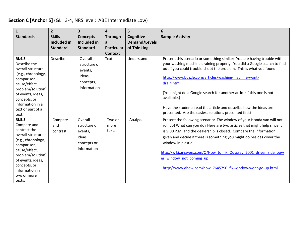## **Section C [Anchor 5]** (GL: 3-4, NRS level: ABE Intermediate Low)

| $\mathbf{1}$<br><b>Standards</b>                                                                                                                                                                                             | $\overline{2}$<br><b>Skills</b><br><b>Included in</b><br><b>Standard</b> | $\overline{\mathbf{3}}$<br><b>Concepts</b><br>Included in<br><b>Standard</b> | 4<br><b>Through</b><br>a<br><b>Particular</b><br><b>Context</b> | 5<br>Cognitive<br><b>Demand/Levels</b><br>of Thinking | 6<br><b>Sample Activity</b>                                                                                                                                                                                                                                                                                                                                                                                                                                                                                          |
|------------------------------------------------------------------------------------------------------------------------------------------------------------------------------------------------------------------------------|--------------------------------------------------------------------------|------------------------------------------------------------------------------|-----------------------------------------------------------------|-------------------------------------------------------|----------------------------------------------------------------------------------------------------------------------------------------------------------------------------------------------------------------------------------------------------------------------------------------------------------------------------------------------------------------------------------------------------------------------------------------------------------------------------------------------------------------------|
| <b>RI.4.5</b><br>Describe the<br>overall structure<br>(e.g., chronology,<br>comparison,<br>cause/effect,<br>problem/solution)<br>of events, ideas,<br>concepts, or<br>information in a<br>text or part of a<br>text.         | Describe                                                                 | Overall<br>structure of<br>events,<br>ideas,<br>concepts,<br>information     | Text                                                            | Understand                                            | Present this scenario or something similar: You are having trouble with<br>your washing machine draining properly. You did a Google search to find<br>out if you could trouble-shoot the problem. This is what you found:<br>http://www.buzzle.com/articles/washing-machine-wont-<br>drain.html<br>(You might do a Google search for another article if this one is not<br>available.)<br>Have the students read the article and describe how the ideas are<br>presented. Are the easiest solutions presented first? |
| <b>RI.5.5</b><br>Compare and<br>contrast the<br>overall structure<br>(e.g., chronology,<br>comparison,<br>cause/effect,<br>problem/solution)<br>of events, ideas,<br>concepts, or<br>information in<br>two or more<br>texts. | Compare<br>and<br>contrast                                               | Overall<br>structure of<br>events,<br>ideas,<br>concepts or<br>information   | Two or<br>more<br>texts                                         | Analyze                                               | Present the following scenario: The window of your Honda van will not<br>roll up! What can you do? Here are two articles that might help since it<br>is 9:00 P.M. and the dealership is closed. Compare the information<br>given and decide if there is something you might do besides cover the<br>window in plastic!<br>http://wiki.answers.com/Q/How to fix Odyssey 2001 driver side pow<br>er window not coming up<br>http://www.ehow.com/how 7645790 fix-window-wont-go-up.html                                 |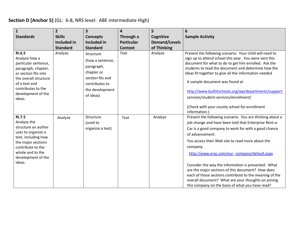## **Section D [Anchor 5]** (GL: 6-8, NRS level: ABE intermediate High)

| $\mathbf{1}$<br><b>Standards</b>                                                                                                                                                                | $\overline{2}$<br><b>Skills</b><br>Included in<br><b>Standard</b> | 3<br><b>Concepts</b><br>Included in<br><b>Standard</b>                                                                          | $\overline{\mathbf{4}}$<br>Through a<br><b>Particular</b><br><b>Context</b> | 5<br>Cognitive<br><b>Demand/Levels</b><br>of Thinking | 6<br><b>Sample Activity</b>                                                                                                                                                                                                                                                                                                                                                                                                                                                                                                                                                                    |
|-------------------------------------------------------------------------------------------------------------------------------------------------------------------------------------------------|-------------------------------------------------------------------|---------------------------------------------------------------------------------------------------------------------------------|-----------------------------------------------------------------------------|-------------------------------------------------------|------------------------------------------------------------------------------------------------------------------------------------------------------------------------------------------------------------------------------------------------------------------------------------------------------------------------------------------------------------------------------------------------------------------------------------------------------------------------------------------------------------------------------------------------------------------------------------------------|
| RI.6.5<br>Analyze how a<br>particular sentence,<br>paragraph, chapter,<br>or section fits into<br>the overall structure<br>of a text and<br>contributes to the<br>development of the<br>ideas.  | Analyze                                                           | Structure<br>(how a sentence,<br>paragraph,<br>chapter or<br>section fits and<br>contributes to<br>the development<br>of ideas) | Text                                                                        | Analyze                                               | Present the following scenario: Your child will need to<br>sign up to attend school this year. You were sent this<br>document for what to do to get him enrolled. Ask the<br>students to read the document and determine how the<br>ideas fit together to give all the information needed<br>A sample document was found at<br>http://www.bullittschools.org/wp/departments/support-<br>services/student-services/enrollment/<br>(Check with your county school for enrollment<br>information.)                                                                                                |
| <b>RI.7.5</b><br>Analyze the<br>structure an author<br>uses to organize a<br>text, including how<br>the major sections<br>contribute to the<br>whole and to the<br>development of the<br>ideas. | Analyze                                                           | Structure<br>(used to<br>organize a text)                                                                                       | Text                                                                        | Analyze                                               | Present the following scenario: You are thinking about a<br>job change and have been told that Enterprise Rent-a-<br>Car is a good company to work for with a good chance<br>of advancement.<br>You access their Web site to read more about the<br>company.<br>http://www.erac.com/our-company/default.aspx<br>Consider the way the information is presented. What<br>are the major sections of this document? How does<br>each of those sections contribute to the meaning of the<br>overall document? What are your thoughts on joining<br>this company on the basis of what you have read? |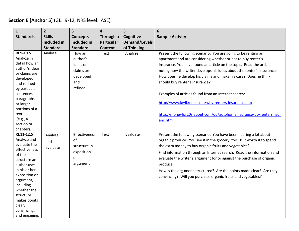## **Section E [Anchor 5]** (GL: 9-12, NRS level: ASE)

| $\mathbf{1}$               | $\overline{2}$     | $\overline{\mathbf{3}}$ | $\overline{\mathbf{4}}$ | 5                    | $6\phantom{1}6$                                                          |
|----------------------------|--------------------|-------------------------|-------------------------|----------------------|--------------------------------------------------------------------------|
| <b>Standards</b>           | <b>Skills</b>      | <b>Concepts</b>         | Through a               | Cognitive            | <b>Sample Activity</b>                                                   |
|                            | <b>Included in</b> | <b>Included in</b>      | <b>Particular</b>       | <b>Demand/Levels</b> |                                                                          |
|                            | <b>Standard</b>    | <b>Standard</b>         | <b>Context</b>          | of Thinking          |                                                                          |
| RI.9-10.5                  | Analyze            | How an                  | Text                    | Analyze              | Present the following scenario: You are going to be renting an           |
| Analyze in                 |                    | author's                |                         |                      | apartment and are considering whether or not to buy renter's             |
| detail how an              |                    | ideas or                |                         |                      | insurance. You have found an article on the topic. Read the article      |
| author's ideas             |                    | claims are              |                         |                      | noting how the writer develops his ideas about the renter's insurance.   |
| or claims are              |                    | developed               |                         |                      | How does he develop his claims and make his case? Does he think I        |
| developed                  |                    | and                     |                         |                      | should buy renter's insurance?                                           |
| and refined                |                    | refined                 |                         |                      |                                                                          |
| by particular              |                    |                         |                         |                      |                                                                          |
| sentences,                 |                    |                         |                         |                      | Examples of articles found from an Internet search:                      |
| paragraphs,                |                    |                         |                         |                      | http://www.kwikrents.com/why-renters-insurance.php                       |
| or larger<br>portions of a |                    |                         |                         |                      |                                                                          |
| text                       |                    |                         |                         |                      | http://moneyfor20s.about.com/od/autohomeinsurance/bb/rentersinsur        |
| (e.g., a                   |                    |                         |                         |                      |                                                                          |
| section or                 |                    |                         |                         |                      | anc.htm                                                                  |
| chapter).                  |                    |                         |                         |                      |                                                                          |
| RI.11-12.5                 | Analyze            | Effectiveness           | Text                    | Evaluate             | Present the following scenario: You have been hearing a lot about        |
| Analyze and                | and                | of                      |                         |                      | organic produce. You see it in the grocery, too. Is it worth it to spend |
| evaluate the               |                    | structure in            |                         |                      | the extra money to buy organic fruits and vegetables?                    |
| effectiveness              | evaluate           | exposition              |                         |                      | Find information through an Internet search. Read the information and    |
| of the                     |                    | <b>or</b>               |                         |                      |                                                                          |
| structure an               |                    |                         |                         |                      | evaluate the writer's argument for or against the purchase of organic    |
| author uses                |                    | argument                |                         |                      | produce.                                                                 |
| in his or her              |                    |                         |                         |                      | How is the argument structured? Are the points made clear? Are they      |
| exposition or              |                    |                         |                         |                      | convincing? Will you purchase organic fruits and vegetables?             |
| argument,<br>including     |                    |                         |                         |                      |                                                                          |
| whether the                |                    |                         |                         |                      |                                                                          |
| structure                  |                    |                         |                         |                      |                                                                          |
| makes points               |                    |                         |                         |                      |                                                                          |
| clear,                     |                    |                         |                         |                      |                                                                          |
| convincing,                |                    |                         |                         |                      |                                                                          |
| and engaging.              |                    |                         |                         |                      |                                                                          |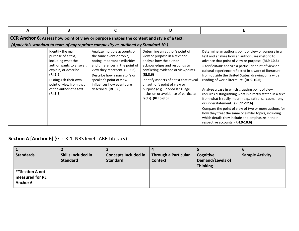| A | В                                                                                                                                                                                                                         |                                                                                                                                                                                                                                                                              | D                                                                                                                                                                                                                                                                                                                                                       |                                                                                                                                                                                                                                                                                                                                                                                                                                                                                                                                                                                                                                                                                                                                                                                                        |  |  |  |  |  |
|---|---------------------------------------------------------------------------------------------------------------------------------------------------------------------------------------------------------------------------|------------------------------------------------------------------------------------------------------------------------------------------------------------------------------------------------------------------------------------------------------------------------------|---------------------------------------------------------------------------------------------------------------------------------------------------------------------------------------------------------------------------------------------------------------------------------------------------------------------------------------------------------|--------------------------------------------------------------------------------------------------------------------------------------------------------------------------------------------------------------------------------------------------------------------------------------------------------------------------------------------------------------------------------------------------------------------------------------------------------------------------------------------------------------------------------------------------------------------------------------------------------------------------------------------------------------------------------------------------------------------------------------------------------------------------------------------------------|--|--|--|--|--|
|   | CCR Anchor 6: Assess how point of view or purpose shapes the content and style of a text.                                                                                                                                 |                                                                                                                                                                                                                                                                              |                                                                                                                                                                                                                                                                                                                                                         |                                                                                                                                                                                                                                                                                                                                                                                                                                                                                                                                                                                                                                                                                                                                                                                                        |  |  |  |  |  |
|   | (Apply this standard to texts of appropriate complexity as outlined by Standard 10.)                                                                                                                                      |                                                                                                                                                                                                                                                                              |                                                                                                                                                                                                                                                                                                                                                         |                                                                                                                                                                                                                                                                                                                                                                                                                                                                                                                                                                                                                                                                                                                                                                                                        |  |  |  |  |  |
|   | Identify the main<br>purpose of a text,<br>including what the<br>author wants to answer,<br>explain, or describe.<br>(RI.2.6)<br>Distinguish their own<br>point of view from that<br>of the author of a text.<br>(RI.3.6) | Analyze multiple accounts of<br>the same event or topic,<br>noting important similarities<br>and differences in the point of<br>view they represent. (RI.5.6)<br>Describe how a narrator's or<br>speaker's point of view<br>influences how events are<br>described. (RL.5.6) | Determine an author's point of<br>view or purpose in a text and<br>analyze how the author<br>acknowledges and responds to<br>conflicting evidence or viewpoints.<br>(RI.8.6)<br>Identify aspects of a text that reveal<br>an author's point of view or<br>purpose (e.g., loaded language,<br>inclusion or avoidance of particular<br>facts). (RH.6-8.6) | Determine an author's point of view or purpose in a<br>text and analyze how an author uses rhetoric to<br>advance that point of view or purpose. (RI.9-10.6)<br>• Application: analyze a particular point of view or<br>cultural experience reflected in a work of literature<br>from outside the United States, drawing on a wide<br>reading of world literature. (RL.9-10.6)<br>Analyze a case in which grasping point of view<br>requires distinguishing what is directly stated in a text<br>from what is really meant (e.g., satire, sarcasm, irony,<br>or understatement). (RL.11-12.6)<br>Compare the point of view of two or more authors for<br>how they treat the same or similar topics, including<br>which details they include and emphasize in their<br>respective accounts. (RH.9-10.6) |  |  |  |  |  |

# **Section A [Anchor 6]** (GL: K-1, NRS level: ABE Literacy)

| <b>Sample Activity</b>  |
|-------------------------|
| <b>Demand/Levels of</b> |
|                         |
|                         |
|                         |
|                         |
|                         |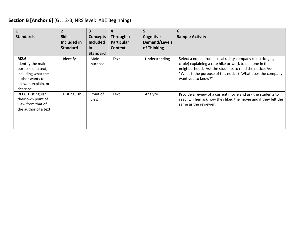## **Section B [Anchor 6]** (GL: 2-3, NRS level: ABE Beginning)

| $\mathbf{1}$<br><b>Standards</b>                                                                                                     | $\mathbf{2}$<br><b>Skills</b><br>Included in<br><b>Standard</b> | 3<br><b>Concepts</b><br><b>Included</b><br>in<br><b>Standard</b> | 4<br>Through a<br><b>Particular</b><br><b>Context</b> | 5<br>Cognitive<br>Demand/Levels<br>of Thinking | 6<br><b>Sample Activity</b>                                                                                                                                                                                                                                            |
|--------------------------------------------------------------------------------------------------------------------------------------|-----------------------------------------------------------------|------------------------------------------------------------------|-------------------------------------------------------|------------------------------------------------|------------------------------------------------------------------------------------------------------------------------------------------------------------------------------------------------------------------------------------------------------------------------|
| <b>RI2.6</b><br>Identify the main<br>purpose of a text,<br>including what the<br>author wants to<br>answer, explain, or<br>describe. | Identify                                                        | Main<br>purpose                                                  | <b>Text</b>                                           | Understanding                                  | Select a notice from a local utility company (electric, gas,<br>cable) explaining a rate hike or work to be done in the<br>neighborhood. Ask the students to read the notice. Ask,<br>"What is the purpose of this notice? What does the company<br>want you to know?" |
| RI3.6 Distinguish<br>their own point of<br>view from that of<br>the author of a text.                                                | Distinguish                                                     | Point of<br>view                                                 | <b>Text</b>                                           | Analyze                                        | Provide a review of a current movie and ask the students to<br>read it. Then ask how they liked the movie and if they felt the<br>same as the reviewer.                                                                                                                |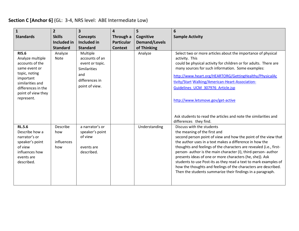## **Section C [Anchor 6]** (GL: 3-4, NRS level: ABE Intermediate Low)

| $\mathbf{1}$<br><b>Standards</b>                                                                                                                                                 | $\overline{2}$<br><b>Skills</b><br><b>Included in</b><br><b>Standard</b> | 3<br><b>Concepts</b><br>Included in<br><b>Standard</b>                                                   | $\overline{\mathbf{4}}$<br>Through a<br><b>Particular</b><br><b>Context</b> | 5<br>Cognitive<br><b>Demand/Levels</b><br>of Thinking | 6<br><b>Sample Activity</b>                                                                                                                                                                                                                                                                                                                                                                                                                                                                                                                                                                    |
|----------------------------------------------------------------------------------------------------------------------------------------------------------------------------------|--------------------------------------------------------------------------|----------------------------------------------------------------------------------------------------------|-----------------------------------------------------------------------------|-------------------------------------------------------|------------------------------------------------------------------------------------------------------------------------------------------------------------------------------------------------------------------------------------------------------------------------------------------------------------------------------------------------------------------------------------------------------------------------------------------------------------------------------------------------------------------------------------------------------------------------------------------------|
| <b>RI5.6</b><br>Analyze multiple<br>accounts of the<br>same event or<br>topic, noting<br>important<br>similarities and<br>differences in the<br>point of view they<br>represent. | Analyze<br><b>Note</b>                                                   | Multiple<br>accounts of an<br>event or topic.<br>Similarities<br>and<br>differences in<br>point of view. |                                                                             | Analyze                                               | Select two or more articles about the importance of physical<br>activity. This<br>could be physical activity for children or for adults. There are<br>many sources for such information. Some examples:<br>http://www.heart.org/HEARTORG/GettingHealthy/PhysicalAc<br>tivity/Start Walking/American-Heart-Association-<br>Guidelines_UCM_307976_Article.jsp<br>http://www.letsmove.gov/get-active<br>Ask students to read the articles and note the similarities and<br>differences they find.                                                                                                 |
| <b>RL.5.6</b><br>Describe how a<br>narrator's or<br>speaker's point<br>of view<br>influences how<br>events are<br>described.                                                     | Describe<br>how<br>influences<br>how                                     | a narrator's or<br>speaker's point<br>of view<br>events are<br>described.                                |                                                                             | Understanding                                         | Discuss with the students<br>the meaning of the first and<br>second person point of view and how the point of the view that<br>the author uses in a text makes a difference in how the<br>thoughts and feelings of the characters are revealed (i.e., first-<br>person- author is the main character (I), third-person- author<br>presents ideas of one or more characters (he, she)). Ask<br>students to use Post-its as they read a text to mark examples of<br>how the thoughts and feelings of the characters are described.<br>Then the students summarize their findings in a paragraph. |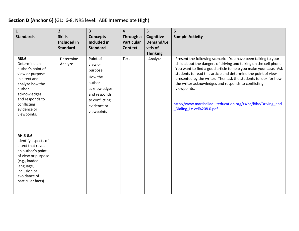## **Section D [Anchor 6]** (GL: 6-8, NRS level: ABE Intermediate High)

| $\mathbf{1}$<br><b>Standards</b>                                                                                                                                                                   | $\overline{2}$<br><b>Skills</b><br>Included in<br><b>Standard</b> | 3<br><b>Concepts</b><br>Included in<br><b>Standard</b>                                                                             | $\overline{\mathbf{4}}$<br>Through a<br><b>Particular</b><br><b>Context</b> | 5<br>Cognitive<br>Demand/Le<br>vels of<br><b>Thinking</b> | 6<br><b>Sample Activity</b>                                                                                                                                                                                                                                                                                                                                                                                                                                                                                |
|----------------------------------------------------------------------------------------------------------------------------------------------------------------------------------------------------|-------------------------------------------------------------------|------------------------------------------------------------------------------------------------------------------------------------|-----------------------------------------------------------------------------|-----------------------------------------------------------|------------------------------------------------------------------------------------------------------------------------------------------------------------------------------------------------------------------------------------------------------------------------------------------------------------------------------------------------------------------------------------------------------------------------------------------------------------------------------------------------------------|
| <b>RI8.6</b><br>Determine an<br>author's point of<br>view or purpose<br>in a text and<br>analyze how the<br>author<br>acknowledges<br>and responds to<br>conflicting<br>evidence or<br>viewpoints. | Determine<br>Analyze                                              | Point of<br>view or<br>purpose<br>How the<br>author<br>acknowledges<br>and responds<br>to conflicting<br>evidence or<br>viewpoints | Text                                                                        | Analyze                                                   | Present the following scenario: You have been talking to your<br>child about the dangers of driving and talking on the cell phone.<br>You want to find a good article to help you make your case. Ask<br>students to read this article and determine the point of view<br>presented by the writer. Then ask the students to look for how<br>the writer acknowledges and responds to conflicting<br>viewpoints.<br>http://www.marshalladulteducation.org/rs/hc/l8hc/Driving and<br>Dialing Le vel%208.0.pdf |
| RH.6-8.6<br>Identify aspects of<br>a text that reveal<br>an author's point<br>of view or purpose<br>(e.g., loaded<br>language,<br>inclusion or<br>avoidance of<br>particular facts).               |                                                                   |                                                                                                                                    |                                                                             |                                                           |                                                                                                                                                                                                                                                                                                                                                                                                                                                                                                            |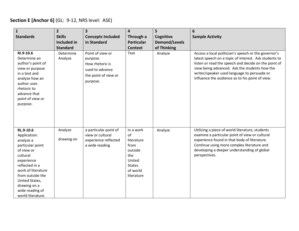## **Section E [Anchor 6]** (GL: 9-12, NRS level: ASE)

| $\mathbf{1}$                                                                                                                                                                                                                             | $\overline{2}$                 | 3                                                                                                      | $\overline{\mathbf{4}}$                                                                                      | 5                                   | 6                                                                                                                                                                                                                                                                                                                        |
|------------------------------------------------------------------------------------------------------------------------------------------------------------------------------------------------------------------------------------------|--------------------------------|--------------------------------------------------------------------------------------------------------|--------------------------------------------------------------------------------------------------------------|-------------------------------------|--------------------------------------------------------------------------------------------------------------------------------------------------------------------------------------------------------------------------------------------------------------------------------------------------------------------------|
| <b>Standards</b>                                                                                                                                                                                                                         | <b>Skills</b>                  | <b>Concepts Included</b>                                                                               | Through a                                                                                                    | Cognitive                           | <b>Sample Activity</b>                                                                                                                                                                                                                                                                                                   |
|                                                                                                                                                                                                                                          | Included in<br><b>Standard</b> | in Standard                                                                                            | <b>Particular</b><br><b>Context</b>                                                                          | <b>Demand/Levels</b><br>of Thinking |                                                                                                                                                                                                                                                                                                                          |
| RI.9-10.6<br>Determine an<br>author's point of<br>view or purpose<br>in a text and<br>analyze how an<br>author uses<br>rhetoric to<br>advance that<br>point of view or<br>purpose.                                                       | Determine<br>Analyze           | Point of view or<br>purpose.<br>How rhetoric is<br>used to advance<br>the point of view or<br>purpose. | Text                                                                                                         | Analyze                             | Access a local politician's speech or the governor's<br>latest speech on a topic of interest. Ask students to<br>listen or read the speech and decide on the point of<br>view being advanced. Ask the students how the<br>writer/speaker used language to persuade or<br>influence the audience as to his point of view. |
| RL.9-10.6<br>Application:<br>analyze a<br>particular point<br>of view or<br>cultural<br>experience<br>reflected in a<br>work of literature<br>from outside the<br>United States,<br>drawing on a<br>wide reading of<br>world literature. | Analyze<br>drawing on          | a particular point of<br>view or cultural<br>experience reflected<br>a wide reading                    | in a work<br>0f<br>literature<br>from<br>outside<br>the<br>United<br><b>States</b><br>of world<br>literature | Analyze                             | Utilizing a piece of world literature, students<br>examine a particular point of view or cultural<br>experience found in that body of literature.<br>Continue using more complex literature and<br>developing a deeper understanding of global<br>perspectives.                                                          |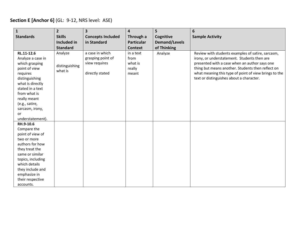## **Section E [Anchor 6]** (GL: 9-12, NRS level: ASE)

| $\mathbf{1}$                         | $\overline{2}$               | $\overline{\mathbf{3}}$                 | $\overline{\mathbf{4}}$        | 5                                 | 6                                                                                                  |
|--------------------------------------|------------------------------|-----------------------------------------|--------------------------------|-----------------------------------|----------------------------------------------------------------------------------------------------|
| <b>Standards</b>                     | <b>Skills</b><br>Included in | <b>Concepts Included</b><br>in Standard | Through a<br><b>Particular</b> | Cognitive<br><b>Demand/Levels</b> | <b>Sample Activity</b>                                                                             |
|                                      | <b>Standard</b>              |                                         | <b>Context</b>                 | of Thinking                       |                                                                                                    |
| RL.11-12.6<br>Analyze a case in      | Analyze                      | a case in which<br>grasping point of    | in a text<br>from              | Analyze                           | Review with students examples of satire, sarcasm,<br>irony, or understatement. Students then are   |
| which grasping<br>point of view      | distinguishing<br>what is    | view requires                           | what is<br>really              |                                   | presented with a case when an author says one<br>thing but means another. Students then reflect on |
| requires<br>distinguishing           |                              | directly stated                         | meant                          |                                   | what meaning this type of point of view brings to the<br>text or distinguishes about a character.  |
| what is directly<br>stated in a text |                              |                                         |                                |                                   |                                                                                                    |
| from what is                         |                              |                                         |                                |                                   |                                                                                                    |
| really meant<br>(e.g., satire,       |                              |                                         |                                |                                   |                                                                                                    |
| sarcasm, irony,                      |                              |                                         |                                |                                   |                                                                                                    |
| <b>or</b>                            |                              |                                         |                                |                                   |                                                                                                    |
| understatement).<br>RH.9-10.6        |                              |                                         |                                |                                   |                                                                                                    |
| Compare the                          |                              |                                         |                                |                                   |                                                                                                    |
| point of view of                     |                              |                                         |                                |                                   |                                                                                                    |
| two or more                          |                              |                                         |                                |                                   |                                                                                                    |
| authors for how                      |                              |                                         |                                |                                   |                                                                                                    |
| they treat the                       |                              |                                         |                                |                                   |                                                                                                    |
| same or similar<br>topics, including |                              |                                         |                                |                                   |                                                                                                    |
| which details                        |                              |                                         |                                |                                   |                                                                                                    |
| they include and                     |                              |                                         |                                |                                   |                                                                                                    |
| emphasize in                         |                              |                                         |                                |                                   |                                                                                                    |
| their respective                     |                              |                                         |                                |                                   |                                                                                                    |
| accounts.                            |                              |                                         |                                |                                   |                                                                                                    |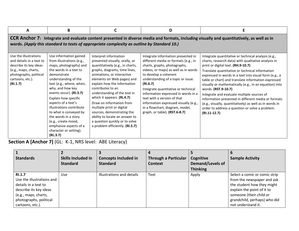| A                                                                                                                                                             | B                                                                                                                                                                                                                                                                                                                              |                                                                                                                                                                                                                                                                                                                                                                                                                                                                                                 | D                                                                                                                                                                                                                                                                                                                                                                                                                                                       |                                                                                                                                                                                                                                                                                                                                                                                                                                                                                                                                                                                                                                                                                                                                                                                                |
|---------------------------------------------------------------------------------------------------------------------------------------------------------------|--------------------------------------------------------------------------------------------------------------------------------------------------------------------------------------------------------------------------------------------------------------------------------------------------------------------------------|-------------------------------------------------------------------------------------------------------------------------------------------------------------------------------------------------------------------------------------------------------------------------------------------------------------------------------------------------------------------------------------------------------------------------------------------------------------------------------------------------|---------------------------------------------------------------------------------------------------------------------------------------------------------------------------------------------------------------------------------------------------------------------------------------------------------------------------------------------------------------------------------------------------------------------------------------------------------|------------------------------------------------------------------------------------------------------------------------------------------------------------------------------------------------------------------------------------------------------------------------------------------------------------------------------------------------------------------------------------------------------------------------------------------------------------------------------------------------------------------------------------------------------------------------------------------------------------------------------------------------------------------------------------------------------------------------------------------------------------------------------------------------|
| Use the illustrations<br>and details in a text to<br>describe its key ideas<br>(e.g., maps, charts,<br>photographs, political<br>cartoons, etc.).<br>(RI.1.7) | Use information gained<br>from illustrations (e.g.,<br>maps, photographs) and<br>the words in a text to<br>demonstrate<br>understanding of the<br>text (e.g., where, when,<br>why, and how key<br>events occur). (RI.3.7)<br>Explain how specific<br>aspects of a text's<br>illustrations contribute<br>to what is conveyed by | words. (Apply this standard to texts of appropriate complexity as outline by Standard 10.)<br>Interpret information<br>presented visually, orally, or<br>quantitatively (e.g., in charts,<br>graphs, diagrams, time lines,<br>animations, or interactive<br>elements on Web pages) and<br>explain how the information<br>contributes to an<br>understanding of the text in<br>which it appears. (RI.4.7)<br>Draw on information from<br>multiple print or digital<br>sources, demonstrating the | Integrate information presented in<br>different media or formats (e.g., in<br>charts, graphs, photographs,<br>videos, or maps) as well as in words<br>to develop a coherent<br>understanding of a topic or issue.<br>(RI.6.7)<br>Integrate quantitative or technical<br>information expressed in words in a<br>text with a version of that<br>information expressed visually (e.g.,<br>in a flowchart, diagram, model,<br>graph, or table). (RST.6-8.7) | $\mid$ CCR Anchor 7: Integrate and evaluate content presented in diverse media and formats, including visually and quantitatively, as well as in<br>Integrate quantitative or technical analysis (e.g.,<br>charts, research data) with qualitative analysis in<br>print or digital text. (RH.9-10.7)<br>Translate quantitative or technical information<br>expressed in words in a text into visual form (e.g., a<br>table or chart) and translate information expressed<br>visually or mathematically (e.g., in an equation) into<br>words. (RST.9-10.7)<br>Integrate and evaluate multiple sources of<br>information presented in different media or formats<br>(e.g., visually, quantitatively) as well as in words in<br>order to address a question or solve a problem.<br>$(RI.11-12.7)$ |
|                                                                                                                                                               | the words in a story<br>(e.g., create mood,<br>emphasize aspects of a<br>character or setting).<br>(RL.3.7)                                                                                                                                                                                                                    | ability to locate an answer to<br>a question quickly or to solve<br>a problem efficiently. (RI.5.7)                                                                                                                                                                                                                                                                                                                                                                                             |                                                                                                                                                                                                                                                                                                                                                                                                                                                         |                                                                                                                                                                                                                                                                                                                                                                                                                                                                                                                                                                                                                                                                                                                                                                                                |

**Section A [Anchor 7]** (GL: K-1, NRS level: ABE Literacy)

| <b>Standards</b>                                                                                                                                                   | <b>Skills Included in</b><br><b>Standard</b> | <b>Concepts Included in</b><br><b>Standard</b> | <b>Through a Particular</b><br><b>Context</b> | Cognitive<br>Demand/Levels of<br><b>Thinking</b> | <b>Sample Activity</b>                                                                                                                                                                                   |
|--------------------------------------------------------------------------------------------------------------------------------------------------------------------|----------------------------------------------|------------------------------------------------|-----------------------------------------------|--------------------------------------------------|----------------------------------------------------------------------------------------------------------------------------------------------------------------------------------------------------------|
| <b>RI.1.7</b><br>Use the illustrations and<br>details in a text to<br>describe its key ideas<br>(e.g., maps, charts,<br>photographs, political<br>cartoons, etc.). | Use                                          | Illustrations and details                      | Text                                          | Apply                                            | Select a comic or comic strip<br>from the newspaper and ask<br>the student how they might<br>explain the point of it to<br>someone (their child or<br>grandchild, perhaps) who did<br>not understand it. |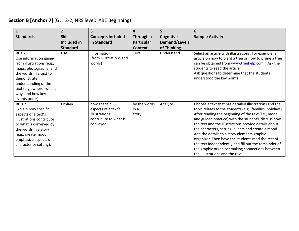## **Section B [Anchor 7]** (GL: 2-2, NRS level: ABE Beginning)

|                                                 | $\overline{2}$  | 3                                    | 4                    | 5                    | 6                                                                                                                 |
|-------------------------------------------------|-----------------|--------------------------------------|----------------------|----------------------|-------------------------------------------------------------------------------------------------------------------|
| <b>Standards</b>                                | <b>Skills</b>   | <b>Concepts Included</b>             | Through a            | Cognitive            | <b>Sample Activity</b>                                                                                            |
|                                                 | Included in     | in Standard                          | <b>Particular</b>    | <b>Demand/Levels</b> |                                                                                                                   |
|                                                 | <b>Standard</b> |                                      | Context              | of Thinking          |                                                                                                                   |
| <b>RI.3.7</b>                                   | <b>Use</b>      | Information                          | Text                 | Understand           | Select an article with illustrations. For example, an                                                             |
| Use information gained                          |                 | (from illustrations and              |                      |                      | article on how to plant a tree or how to prune a tree                                                             |
| from illustrations (e.g.,                       |                 | words)                               |                      |                      | can be obtained from www.treehelp.com. Ask the                                                                    |
| maps, photographs) and                          |                 |                                      |                      |                      | students to read the article.                                                                                     |
| the words in a text to                          |                 |                                      |                      |                      | Ask questions to determine that the students                                                                      |
| demonstrate                                     |                 |                                      |                      |                      | understood the key points.                                                                                        |
| understanding of the                            |                 |                                      |                      |                      |                                                                                                                   |
| text (e.g., where, when,                        |                 |                                      |                      |                      |                                                                                                                   |
| why, and how key                                |                 |                                      |                      |                      |                                                                                                                   |
| events occur).                                  |                 |                                      |                      |                      |                                                                                                                   |
| <b>RL.3.7</b>                                   | Explain         | how specific                         | by the words<br>in a | Analyze              | Choose a text that has detailed illustrations and the                                                             |
| Explain how specific                            |                 | aspects of a text's<br>illustrations | story                |                      | topic relates to the students (e.g., families, holidays).<br>After reading the beginning of the text (i.e., model |
| aspects of a text's<br>illustrations contribute |                 | contribute to what is                |                      |                      | and guided practice) with the students, discuss how                                                               |
| to what is conveyed by                          |                 | conveyed                             |                      |                      | the text and the illustrations provide details about                                                              |
| the words in a story                            |                 |                                      |                      |                      | the characters, setting, events and create a mood.                                                                |
| (e.g., create mood,                             |                 |                                      |                      |                      | Add the details to a story elements graphic                                                                       |
| emphasize aspects of a                          |                 |                                      |                      |                      | organizer. Then have the students read the rest of                                                                |
| character or setting).                          |                 |                                      |                      |                      | the text independently and fill out the remainder of                                                              |
|                                                 |                 |                                      |                      |                      | the graphic organizer making connections between                                                                  |
|                                                 |                 |                                      |                      |                      | the illustrations and the text.                                                                                   |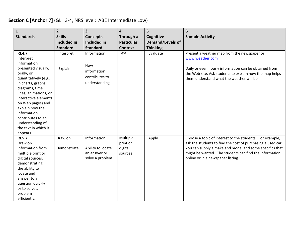## **Section C [Anchor 7]** (GL: 3-4, NRS level: ABE Intermediate Low)

| $\mathbf{1}$                                                                                                                                                                                                                                                                                                                         | $\overline{2}$                 | $\overline{\mathbf{3}}$                                              | $\overline{\mathbf{4}}$                    | 5                                          | 6                                                                                                                                                                                                                                                                                 |
|--------------------------------------------------------------------------------------------------------------------------------------------------------------------------------------------------------------------------------------------------------------------------------------------------------------------------------------|--------------------------------|----------------------------------------------------------------------|--------------------------------------------|--------------------------------------------|-----------------------------------------------------------------------------------------------------------------------------------------------------------------------------------------------------------------------------------------------------------------------------------|
| <b>Standards</b>                                                                                                                                                                                                                                                                                                                     | <b>Skills</b>                  | <b>Concepts</b>                                                      | Through a                                  | Cognitive                                  | <b>Sample Activity</b>                                                                                                                                                                                                                                                            |
|                                                                                                                                                                                                                                                                                                                                      | Included in<br><b>Standard</b> | <b>Included in</b><br><b>Standard</b>                                | <b>Particular</b><br><b>Context</b>        | <b>Demand/Levels of</b><br><b>Thinking</b> |                                                                                                                                                                                                                                                                                   |
| <b>RI.4.7</b><br>Interpret<br>information<br>presented visually,<br>orally, or<br>quantitatively (e.g.,<br>in charts, graphs,<br>diagrams, time<br>lines, animations, or<br>interactive elements<br>on Web pages) and<br>explain how the<br>information<br>contributes to an<br>understanding of<br>the text in which it<br>appears. | Interpret<br>Explain           | Information<br>How<br>information<br>contributes to<br>understanding | Text                                       | Evaluate                                   | Present a weather map from the newspaper or<br>www.weather.com<br>Daily or even hourly information can be obtained from<br>the Web site. Ask students to explain how the map helps<br>them understand what the weather will be.                                                   |
| <b>RI.5.7</b><br>Draw on<br>information from<br>multiple print or<br>digital sources,<br>demonstrating<br>the ability to<br>locate and<br>answer to a<br>question quickly<br>or to solve a<br>problem<br>efficiently.                                                                                                                | Draw on<br>Demonstrate         | Information<br>Ability to locate<br>an answer or<br>solve a problem  | Multiple<br>print or<br>digital<br>sources | Apply                                      | Choose a topic of interest to the students. For example,<br>ask the students to find the cost of purchasing a used car.<br>You can supply a make and model and some specifics that<br>might be wanted. The students can find the information<br>online or in a newspaper listing. |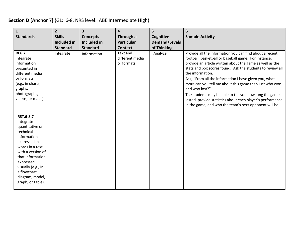## **Section D [Anchor 7]** (GL: 6-8, NRS level: ABE Intermediate High)

| $\mathbf{1}$<br><b>Standards</b>                                                                                                                                                                                                             | 2 <sup>2</sup><br><b>Skills</b> | 3<br><b>Concepts</b> | $\overline{\mathbf{4}}$<br>Through a      | 5<br>Cognitive       | 6<br><b>Sample Activity</b>                                                                                                                                                                                                                                                                                                                                                                                                                                                                                                                                                          |
|----------------------------------------------------------------------------------------------------------------------------------------------------------------------------------------------------------------------------------------------|---------------------------------|----------------------|-------------------------------------------|----------------------|--------------------------------------------------------------------------------------------------------------------------------------------------------------------------------------------------------------------------------------------------------------------------------------------------------------------------------------------------------------------------------------------------------------------------------------------------------------------------------------------------------------------------------------------------------------------------------------|
|                                                                                                                                                                                                                                              | Included in                     | Included in          | <b>Particular</b>                         | <b>Demand/Levels</b> |                                                                                                                                                                                                                                                                                                                                                                                                                                                                                                                                                                                      |
|                                                                                                                                                                                                                                              | <b>Standard</b>                 | <b>Standard</b>      | <b>Context</b>                            | of Thinking          |                                                                                                                                                                                                                                                                                                                                                                                                                                                                                                                                                                                      |
| <b>RI.6.7</b><br>Integrate<br>information<br>presented in<br>different media<br>or formats<br>(e.g., in charts,<br>graphs,<br>photographs,<br>videos, or maps)                                                                               | Integrate                       | Information          | Text and<br>different media<br>or formats | Analyze              | Provide all the information you can find about a recent<br>football, basketball or baseball game. For instance,<br>provide an article written about the game as well as the<br>stats and box scores found. Ask the students to review all<br>the information.<br>Ask, "From all the information I have given you, what<br>more can you tell me about this game than just who won<br>and who lost?"<br>The students may be able to tell you how long the game<br>lasted, provide statistics about each player's performance<br>in the game, and who the team's next opponent will be. |
| RST.6-8.7<br>Integrate<br>quantitative or<br>technical<br>information<br>expressed in<br>words in a text<br>with a version of<br>that information<br>expressed<br>visually (e.g., in<br>a flowchart,<br>diagram, model,<br>graph, or table). |                                 |                      |                                           |                      |                                                                                                                                                                                                                                                                                                                                                                                                                                                                                                                                                                                      |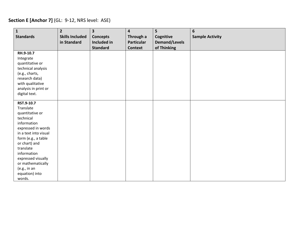## **Section E [Anchor 7]** (GL: 9-12, NRS level: ASE)

| $\mathbf{1}$<br><b>Standards</b>                                                                                                                                                                                                     | $\overline{2}$<br><b>Skills Included</b><br>in Standard | $\overline{\mathbf{3}}$<br><b>Concepts</b><br>Included in<br><b>Standard</b> | $\overline{\mathbf{4}}$<br>Through a<br><b>Particular</b><br><b>Context</b> | 5<br>Cognitive<br><b>Demand/Levels</b><br>of Thinking | 6<br><b>Sample Activity</b> |
|--------------------------------------------------------------------------------------------------------------------------------------------------------------------------------------------------------------------------------------|---------------------------------------------------------|------------------------------------------------------------------------------|-----------------------------------------------------------------------------|-------------------------------------------------------|-----------------------------|
| RH.9-10.7<br>Integrate<br>quantitative or<br>technical analysis<br>(e.g., charts,<br>research data)<br>with qualitative<br>analysis in print or<br>digital text.                                                                     |                                                         |                                                                              |                                                                             |                                                       |                             |
| RST.9-10.7<br>Translate<br>quantitative or<br>technical<br>information<br>expressed in words<br>in a text into visual<br>form (e.g., a table<br>or chart) and<br>translate<br>information<br>expressed visually<br>or mathematically |                                                         |                                                                              |                                                                             |                                                       |                             |
| (e.g., in an<br>equation) into<br>words.                                                                                                                                                                                             |                                                         |                                                                              |                                                                             |                                                       |                             |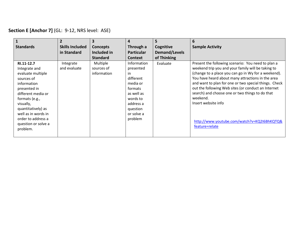## **Section E [Anchor 7]** (GL: 9-12, NRS level: ASE)

| $\mathbf{1}$<br><b>Standards</b>                                                                                                                                                                                                                         | <b>Skills Included</b>    | 3<br><b>Concepts</b>                  | $\boldsymbol{4}$<br>Through a                                                                                                                  | 5<br>Cognitive       | 6<br><b>Sample Activity</b>                                                                                                                                                                                                                                                                                                                                                                                                                                                                 |
|----------------------------------------------------------------------------------------------------------------------------------------------------------------------------------------------------------------------------------------------------------|---------------------------|---------------------------------------|------------------------------------------------------------------------------------------------------------------------------------------------|----------------------|---------------------------------------------------------------------------------------------------------------------------------------------------------------------------------------------------------------------------------------------------------------------------------------------------------------------------------------------------------------------------------------------------------------------------------------------------------------------------------------------|
|                                                                                                                                                                                                                                                          | in Standard               | Included in                           | <b>Particular</b>                                                                                                                              | <b>Demand/Levels</b> |                                                                                                                                                                                                                                                                                                                                                                                                                                                                                             |
|                                                                                                                                                                                                                                                          |                           | <b>Standard</b>                       | <b>Context</b>                                                                                                                                 | of Thinking          |                                                                                                                                                                                                                                                                                                                                                                                                                                                                                             |
| RI.11-12.7<br>Integrate and<br>evaluate multiple<br>sources of<br>information<br>presented in<br>different media or<br>formats (e.g.,<br>visually,<br>quantitatively) as<br>well as in words in<br>order to address a<br>question or solve a<br>problem. | Integrate<br>and evaluate | Multiple<br>sources of<br>information | Information<br>presented<br>in<br>different<br>media or<br>formats<br>as well as<br>words to<br>address a<br>question<br>or solve a<br>problem | Evaluate             | Present the following scenario: You need to plan a<br>weekend trip you and your family will be taking to<br>(change to a place you can go in Wy for a weekend).<br>You have heard about many attractions in the area<br>and want to plan for one or two special things. Check<br>out the following Web sites (or conduct an Internet<br>search) and choose one or two things to do that<br>weekend.<br>Insert website info<br>http://www.youtube.com/watch?v=KQ2I6BhKQTQ&<br>feature=relate |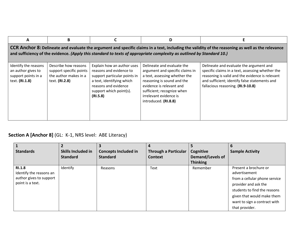| A                                                                                                                                                                                                                                                                                 | В                                                                                          |                                                                                                                                                                                   | D                                                                                                                                                                                                                                        |                                                                                                                                                                                                                                      |  |  |  |  |
|-----------------------------------------------------------------------------------------------------------------------------------------------------------------------------------------------------------------------------------------------------------------------------------|--------------------------------------------------------------------------------------------|-----------------------------------------------------------------------------------------------------------------------------------------------------------------------------------|------------------------------------------------------------------------------------------------------------------------------------------------------------------------------------------------------------------------------------------|--------------------------------------------------------------------------------------------------------------------------------------------------------------------------------------------------------------------------------------|--|--|--|--|
| $\mid$ CCR Anchor 8: Delineate and evaluate the argument and specific claims in a text, including the validity of the reasoning as well as the relevance<br>and sufficiency of the evidence. (Apply this standard to texts of appropriate complexity as outlined by Standard 10.) |                                                                                            |                                                                                                                                                                                   |                                                                                                                                                                                                                                          |                                                                                                                                                                                                                                      |  |  |  |  |
| Identify the reasons<br>an author gives to<br>support points in a<br>text. (RI.1.8)                                                                                                                                                                                               | Describe how reasons<br>support specific points<br>the author makes in a<br>text. (RI.2.8) | Explain how an author uses<br>reasons and evidence to<br>support particular points in<br>a text, identifying which<br>reasons and evidence<br>support which point(s).<br>(RI.5.8) | Delineate and evaluate the<br>argument and specific claims in<br>a text, assessing whether the<br>reasoning is sound and the<br>evidence is relevant and<br>sufficient; recognize when<br>irrelevant evidence is<br>introduced. (RI.8.8) | Delineate and evaluate the argument and<br>specific claims in a text, assessing whether the<br>reasoning is valid and the evidence is relevant<br>and sufficient; identify false statements and<br>fallacious reasoning. (RI.9-10.8) |  |  |  |  |

## **Section A [Anchor 8]** (GL: K-1, NRS level: ABE Literacy)

|                         |                    |                             |                             |                         | 6                             |
|-------------------------|--------------------|-----------------------------|-----------------------------|-------------------------|-------------------------------|
| <b>Standards</b>        | Skills Included in | <b>Concepts Included in</b> | <b>Through a Particular</b> | Cognitive               | <b>Sample Activity</b>        |
|                         | <b>Standard</b>    | <b>Standard</b>             | Context                     | <b>Demand/Levels of</b> |                               |
|                         |                    |                             |                             | <b>Thinking</b>         |                               |
| <b>RI.1.8</b>           | Identify           | Reasons                     | Text                        | Remember                | Present a brochure or         |
| Identify the reasons an |                    |                             |                             |                         | advertisement                 |
| author gives to support |                    |                             |                             |                         | from a cellular phone service |
| point is a text.        |                    |                             |                             |                         | provider and ask the          |
|                         |                    |                             |                             |                         | students to find the reasons  |
|                         |                    |                             |                             |                         | given that would make them    |
|                         |                    |                             |                             |                         | want to sign a contract with  |
|                         |                    |                             |                             |                         | that provider.                |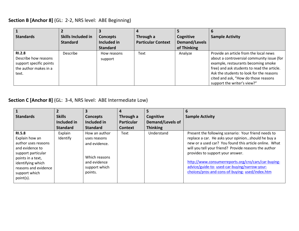#### **Section B [Anchor 8]** (GL: 2-2, NRS level: ABE Beginning)

| <b>Standards</b>                                                                                   | Skills Included in<br><b>Standard</b> | <b>Concepts</b><br>Included in<br><b>Standard</b> | Through a<br><b>Particular Context</b> | Cognitive<br><b>Demand/Levels</b><br>of Thinking | <b>Sample Activity</b>                                                                                                                                                                                                                                                                        |
|----------------------------------------------------------------------------------------------------|---------------------------------------|---------------------------------------------------|----------------------------------------|--------------------------------------------------|-----------------------------------------------------------------------------------------------------------------------------------------------------------------------------------------------------------------------------------------------------------------------------------------------|
| <b>RI.2.8</b><br>Describe how reasons<br>support specific points<br>the author makes in a<br>text. | <b>Describe</b>                       | How reasons<br>support                            | Text                                   | Analyze                                          | Provide an article from the local news<br>about a controversial community issue (for<br>example, restaurants becoming smoke<br>free) and ask students to read the article.<br>Ask the students to look for the reasons<br>cited and ask, "How do those reasons<br>support the writer's view?" |

#### **Section C [Anchor 8]** (GL: 3-4, NRS level: ABE Intermediate Low)

|                                                                                                                                                                                                 |                     |                                                                                                             |                   |                         | 6                                                                                                                                                                                                                                                                                                                                                                                                                            |
|-------------------------------------------------------------------------------------------------------------------------------------------------------------------------------------------------|---------------------|-------------------------------------------------------------------------------------------------------------|-------------------|-------------------------|------------------------------------------------------------------------------------------------------------------------------------------------------------------------------------------------------------------------------------------------------------------------------------------------------------------------------------------------------------------------------------------------------------------------------|
| <b>Standards</b>                                                                                                                                                                                | <b>Skills</b>       | <b>Concepts</b>                                                                                             | Through a         | Cognitive               | <b>Sample Activity</b>                                                                                                                                                                                                                                                                                                                                                                                                       |
|                                                                                                                                                                                                 | Included in         | Included in                                                                                                 | <b>Particular</b> | <b>Demand/Levels of</b> |                                                                                                                                                                                                                                                                                                                                                                                                                              |
|                                                                                                                                                                                                 | <b>Standard</b>     | <b>Standard</b>                                                                                             | <b>Context</b>    | <b>Thinking</b>         |                                                                                                                                                                                                                                                                                                                                                                                                                              |
| <b>RI.5.8</b><br>Explain how an<br>author uses reasons<br>and evidence to<br>support particular<br>points in a text,<br>identifying which<br>reasons and evidence<br>support which<br>point(s). | Explain<br>Identify | How an author<br>uses reasons<br>and evidence.<br>Which reasons<br>and evidence<br>support which<br>points. | Text              | Understand              | Present the following scenario: Your friend needs to<br>replace a car. He asks your opinionshould he buy a<br>new or a used car? You found this article online. What<br>will you tell your friend? Provide reasons the author<br>provides to support your answer.<br>http://www.consumerreports.org/cro/cars/car-buying-<br>advice/guide-to- used-car-buying/narrow-your-<br>choices/pros-and-cons-of-buying- used/index.htm |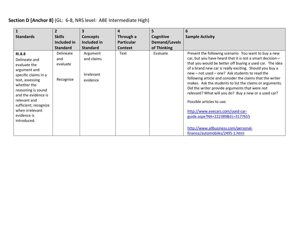## **Section D [Anchor 8]** (GL: 6-8, NRS level: ABE Intermediate High)

| <b>Standards</b>                                                                                                                                                                                                                                                | $\overline{2}$<br><b>Skills</b><br>Included in<br><b>Standard</b> | 3<br><b>Concepts</b><br>Included in<br><b>Standard</b> | 4<br>Through a<br><b>Particular</b><br><b>Context</b> | 5<br>Cognitive<br><b>Demand/Levels</b><br>of Thinking | 6<br><b>Sample Activity</b>                                                                                                                                                                                                                                                                                                                                                                                                                                                                                                                                                                                                                                                                                  |
|-----------------------------------------------------------------------------------------------------------------------------------------------------------------------------------------------------------------------------------------------------------------|-------------------------------------------------------------------|--------------------------------------------------------|-------------------------------------------------------|-------------------------------------------------------|--------------------------------------------------------------------------------------------------------------------------------------------------------------------------------------------------------------------------------------------------------------------------------------------------------------------------------------------------------------------------------------------------------------------------------------------------------------------------------------------------------------------------------------------------------------------------------------------------------------------------------------------------------------------------------------------------------------|
| <b>RI.8.8</b><br>Delineate and<br>evaluate the<br>argument and<br>specific claims in a<br>text, assessing<br>whether the<br>reasoning is sound<br>and the evidence is<br>relevant and<br>sufficient; recognize<br>when irrelevant<br>evidence is<br>introduced. | Delineate<br>and<br>evaluate<br>Recognize                         | Argument<br>and claims<br>Irrelevant<br>evidence       | Text                                                  | Evaluate                                              | Present the following scenario: You want to buy a new<br>car, but you have heard that it is not a smart decision-<br>that you would be better off buying a used car. The idea<br>of a brand new car is really exciting. Should you buy a<br>new - not used - one? Ask students to read the<br>following article and consider the claims that the writer<br>makes. Ask the students to list the claims or arguments.<br>Did the writer provide arguments that were not<br>relevant? What will you do? Buy a new or a used car?<br>Possible articles to use:<br>http://www.evecars.com/used-car-<br>guide.aspx?NA=222389&EL=3177655<br>http://www.allbusiness.com/personal-<br>finance/automobiles/2495-1.html |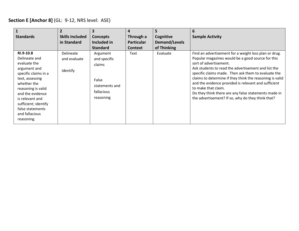## **Section E [Anchor 8]** (GL: 9-12, NRS level: ASE)

| $\mathbf{1}$<br><b>Standards</b>                                                                                                                                                                                                                              | $\overline{2}$<br><b>Skills Included</b><br>in Standard | 3<br><b>Concepts</b><br>Included in<br><b>Standard</b>                                   | 4<br>Through a<br><b>Particular</b><br><b>Context</b> | 5<br>Cognitive<br>Demand/Levels<br>of Thinking | 6<br><b>Sample Activity</b>                                                                                                                                                                                                                                                                                                                                                                                                                                                                                |
|---------------------------------------------------------------------------------------------------------------------------------------------------------------------------------------------------------------------------------------------------------------|---------------------------------------------------------|------------------------------------------------------------------------------------------|-------------------------------------------------------|------------------------------------------------|------------------------------------------------------------------------------------------------------------------------------------------------------------------------------------------------------------------------------------------------------------------------------------------------------------------------------------------------------------------------------------------------------------------------------------------------------------------------------------------------------------|
| RI.9-10.8<br>Delineate and<br>evaluate the<br>argument and<br>specific claims in a<br>text, assessing<br>whether the<br>reasoning is valid<br>and the evidence<br>is relevant and<br>sufficient; identify<br>false statements<br>and fallacious<br>reasoning. | Delineate<br>and evaluate<br>Identify                   | Argument<br>and specific<br>claims<br>False<br>statements and<br>fallacious<br>reasoning | Text                                                  | Evaluate                                       | Find an advertisement for a weight loss plan or drug.<br>Popular magazines would be a good source for this<br>sort of advertisement.<br>Ask students to read the advertisement and list the<br>specific claims made. Then ask them to evaluate the<br>claims to determine if they think the reasoning is valid<br>and the evidence provided is relevant and sufficient<br>to make that claim.<br>Do they think there are any false statements made in<br>the advertisement? If so, why do they think that? |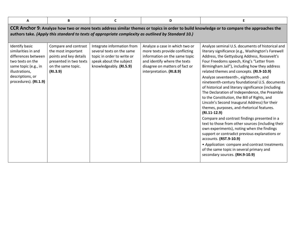| A                                                                                                                                                                              | B                                                                                                                                | $\mathbf c$                                                                                                                                 | D                                                                                                                                                                                               | Е                                                                                                                                                                                                                                                                                                                                                                                                                                                                                                                                                                                                                                                                                                                                                                                                                                                                                                                                                                                                                                   |
|--------------------------------------------------------------------------------------------------------------------------------------------------------------------------------|----------------------------------------------------------------------------------------------------------------------------------|---------------------------------------------------------------------------------------------------------------------------------------------|-------------------------------------------------------------------------------------------------------------------------------------------------------------------------------------------------|-------------------------------------------------------------------------------------------------------------------------------------------------------------------------------------------------------------------------------------------------------------------------------------------------------------------------------------------------------------------------------------------------------------------------------------------------------------------------------------------------------------------------------------------------------------------------------------------------------------------------------------------------------------------------------------------------------------------------------------------------------------------------------------------------------------------------------------------------------------------------------------------------------------------------------------------------------------------------------------------------------------------------------------|
|                                                                                                                                                                                |                                                                                                                                  |                                                                                                                                             | authors take. (Apply this standard to texts of appropriate complexity as outlined by Standard 10.)                                                                                              | CCR Anchor 9: Analyze how two or more texts address similar themes or topics in order to build knowledge or to compare the approaches the                                                                                                                                                                                                                                                                                                                                                                                                                                                                                                                                                                                                                                                                                                                                                                                                                                                                                           |
| <b>Identify basic</b><br>similarities in and<br>differences between<br>two texts on the<br>same topic (e.g., in<br>illustrations,<br>descriptions, or<br>procedures). (RI.1.9) | Compare and contrast<br>the most important<br>points and key details<br>presented in two texts<br>on the same topic.<br>(RI.3.9) | Integrate information from<br>several texts on the same<br>topic in order to write or<br>speak about the subject<br>knowledgeably. (RI.5.9) | Analyze a case in which two or<br>more texts provide conflicting<br>information on the same topic<br>and identify where the texts<br>disagree on matters of fact or<br>interpretation. (RI.8.9) | Analyze seminal U.S. documents of historical and<br>literary significance (e.g., Washington's Farewell<br>Address, the Gettysburg Address, Roosevelt's<br>Four Freedoms speech, King's "Letter from<br>Birmingham Jail"), including how they address<br>related themes and concepts. (RI.9-10.9)<br>Analyze seventeenth-, eighteenth-, and<br>nineteenth-century foundational U.S. documents<br>of historical and literary significance (including<br>The Declaration of Independence, the Preamble<br>to the Constitution, the Bill of Rights, and<br>Lincoln's Second Inaugural Address) for their<br>themes, purposes, and rhetorical features.<br>$(RI.11-12.9)$<br>Compare and contrast findings presented in a<br>text to those from other sources (including their<br>own experiments), noting when the findings<br>support or contradict previous explanations or<br>accounts. (RST.9-10.9)<br>• Application: compare and contrast treatments<br>of the same topic in several primary and<br>secondary sources. (RH.9-10.9) |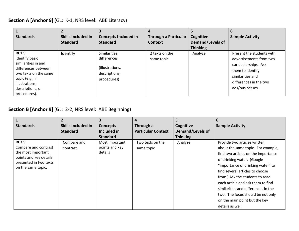#### **Section A [Anchor 9]** (GL: K-1, NRS level: ABE Literacy)

| <b>Standards</b>                                                                                                                                                                | <b>Skills Included in</b><br><b>Standard</b> | <b>Concepts Included in</b><br><b>Standard</b>                                  | <b>Through a Particular</b><br>Context | Cognitive<br>Demand/Levels of<br><b>Thinking</b> | 6<br><b>Sample Activity</b>                                                                                                                                       |
|---------------------------------------------------------------------------------------------------------------------------------------------------------------------------------|----------------------------------------------|---------------------------------------------------------------------------------|----------------------------------------|--------------------------------------------------|-------------------------------------------------------------------------------------------------------------------------------------------------------------------|
| <b>RI.1.9</b><br>Identify basic<br>similarities in and<br>differences between<br>two texts on the same<br>topic (e.g., in<br>illustrations,<br>descriptions, or<br>procedures). | Identify                                     | Similarities,<br>differences<br>(illustrations,<br>descriptions,<br>procedures) | 2 texts on the<br>same topic           | Analyze                                          | Present the students with<br>advertisements from two<br>car dealerships. Ask<br>them to identify<br>similarities and<br>differences in the two<br>ads/businesses. |

#### **Section B [Anchor 9]** (GL: 2-2, NRS level: ABE Beginning)

|                                              | $\overline{2}$            | $\overline{\mathbf{3}}$ | 4                         | 5                | 6                                   |
|----------------------------------------------|---------------------------|-------------------------|---------------------------|------------------|-------------------------------------|
| <b>Standards</b>                             | <b>Skills Included in</b> | <b>Concepts</b>         | Through a                 | Cognitive        | <b>Sample Activity</b>              |
|                                              | <b>Standard</b>           | Included in             | <b>Particular Context</b> | Demand/Levels of |                                     |
|                                              |                           | <b>Standard</b>         |                           | <b>Thinking</b>  |                                     |
| <b>RI.3.9</b>                                | Compare and               | Most important          | Two texts on the          | Analyze          | Provide two articles written        |
| Compare and contrast                         | contrast                  | points and key          | same topic                |                  | about the same topic. For example,  |
| the most important                           |                           | details                 |                           |                  | find two articles on the importance |
| points and key details                       |                           |                         |                           |                  | of drinking water. (Google          |
| presented in two texts<br>on the same topic. |                           |                         |                           |                  | "importance of drinking water" to   |
|                                              |                           |                         |                           |                  | find several articles to choose     |
|                                              |                           |                         |                           |                  | from.) Ask the students to read     |
|                                              |                           |                         |                           |                  | each article and ask them to find   |
|                                              |                           |                         |                           |                  | similarities and differences in the |
|                                              |                           |                         |                           |                  | two. The focus should be not only   |
|                                              |                           |                         |                           |                  | on the main point but the key       |
|                                              |                           |                         |                           |                  | details as well.                    |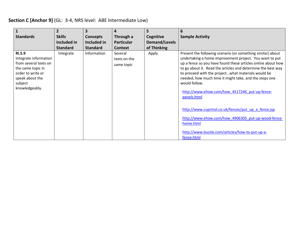## **Section C [Anchor 9]** (GL: 3-4, NRS level: ABE Intermediate Low)

| <b>Standards</b>                                                                                                                                   | $\overline{2}$<br><b>Skills</b><br>Included in | <b>Concepts</b><br>Included in | 4<br>Through a<br><b>Particular</b>   | 5.<br>Cognitive<br><b>Demand/Levels</b> | 6<br><b>Sample Activity</b>                                                                                                                                                                                                                                                                                                                                                                                                                                                                                                                                                                                                                        |
|----------------------------------------------------------------------------------------------------------------------------------------------------|------------------------------------------------|--------------------------------|---------------------------------------|-----------------------------------------|----------------------------------------------------------------------------------------------------------------------------------------------------------------------------------------------------------------------------------------------------------------------------------------------------------------------------------------------------------------------------------------------------------------------------------------------------------------------------------------------------------------------------------------------------------------------------------------------------------------------------------------------------|
|                                                                                                                                                    | <b>Standard</b>                                | <b>Standard</b>                | <b>Context</b>                        | of Thinking                             |                                                                                                                                                                                                                                                                                                                                                                                                                                                                                                                                                                                                                                                    |
| RI.5.9<br>Integrate information<br>from several texts on<br>the same topic in<br>order to write or<br>speak about the<br>subject<br>knowledgeably. | Integrate                                      | Information                    | Several<br>texts on the<br>same topic | Apply                                   | Present the following scenario (or something similar) about<br>undertaking a home improvement project. You want to put<br>up a fence so you have found these articles online about how<br>to go about it. Read the articles and determine the best way<br>to proceed with the projectwhat materials would be<br>needed, how much time it might take, and the steps one<br>would follow.<br>http://www.ehow.com/how 4517246 put-up-fence-<br>panels.html<br>http://www.cuprinol.co.uk/fences/put up a fence.jsp<br>http://www.ehow.com/how 4906305 put-up-wood-fence-<br>home.html<br>http://www.buzzle.com/articles/how-to-put-up-a-<br>fence.html |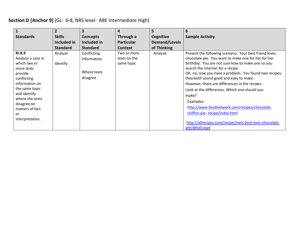## **Section D [Anchor 9]** (GL: 6-8, NRS level: ABE Intermediate High)

|                                                                                                                                                                                                           | $\overline{2}$      |                                                       | 4                                         | 5             | 6                                                                                                                                                                                                                                                                                                                                                                                                                                                                                                                      |
|-----------------------------------------------------------------------------------------------------------------------------------------------------------------------------------------------------------|---------------------|-------------------------------------------------------|-------------------------------------------|---------------|------------------------------------------------------------------------------------------------------------------------------------------------------------------------------------------------------------------------------------------------------------------------------------------------------------------------------------------------------------------------------------------------------------------------------------------------------------------------------------------------------------------------|
| <b>Standards</b>                                                                                                                                                                                          | <b>Skills</b>       | <b>Concepts</b>                                       | Through a                                 | Cognitive     | <b>Sample Activity</b>                                                                                                                                                                                                                                                                                                                                                                                                                                                                                                 |
|                                                                                                                                                                                                           | Included in         | Included in                                           | <b>Particular</b>                         | Demand/Levels |                                                                                                                                                                                                                                                                                                                                                                                                                                                                                                                        |
|                                                                                                                                                                                                           | <b>Standard</b>     | <b>Standard</b>                                       | <b>Context</b>                            | of Thinking   |                                                                                                                                                                                                                                                                                                                                                                                                                                                                                                                        |
| <b>RI.8.9</b><br>Analyze a case in<br>which two or<br>more texts<br>provide<br>conflicting<br>information on<br>the same topic<br>and identify<br>where the texts<br>disagree on<br>matters of fact<br>or | Analyze<br>Identify | Conflicting<br>Information<br>Where texts<br>disagree | Two or more<br>texts on the<br>same topic | Analyze       | Present the following scenario: Your best friend loves<br>chocolate pie. You want to make one for her for her<br>birthday. You are not sure how to make one so you<br>search the Internet for a recipe.<br>Oh, no, now you have a problem. You found two recipes;<br>they both sound good and easy to make.<br>However, there are differences in the recipes.<br>Look at the differences. Which one should you<br>make?<br>Examples:<br>http://www.foodnetwork.com/recipes/chocolate-<br>chiffon-pie-recipe/index.html |
| interpretation.                                                                                                                                                                                           |                     |                                                       |                                           |               | http://allrecipes.com/recipe/mels-best-ever-chocolate-<br>pie/detail.aspx                                                                                                                                                                                                                                                                                                                                                                                                                                              |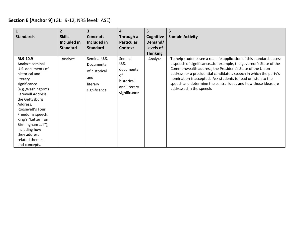## **Section E [Anchor 9]** (GL: 9-12, NRS level: ASE)

| $\mathbf{1}$<br><b>Standards</b>                                                                                                                                                                                                                                                                                                   | $\overline{2}$<br><b>Skills</b><br>Included in<br><b>Standard</b> | 3<br><b>Concepts</b><br>Included in<br><b>Standard</b>                               | 4<br>Through a<br><b>Particular</b><br><b>Context</b>                            | 5<br>Cognitive<br>Demand/<br>Levels of<br><b>Thinking</b> | 6<br><b>Sample Activity</b>                                                                                                                                                                                                                                                                                                                                                                                                                |
|------------------------------------------------------------------------------------------------------------------------------------------------------------------------------------------------------------------------------------------------------------------------------------------------------------------------------------|-------------------------------------------------------------------|--------------------------------------------------------------------------------------|----------------------------------------------------------------------------------|-----------------------------------------------------------|--------------------------------------------------------------------------------------------------------------------------------------------------------------------------------------------------------------------------------------------------------------------------------------------------------------------------------------------------------------------------------------------------------------------------------------------|
| RI.9-10.9<br>Analyze seminal<br>U.S. documents of<br>historical and<br>literary<br>significance<br>(e.g., Washington's<br>Farewell Address,<br>the Gettysburg<br>Address,<br>Roosevelt's Four<br>Freedoms speech,<br>King's "Letter from<br>Birmingham Jail"),<br>including how<br>they address<br>related themes<br>and concepts. | Analyze                                                           | Seminal U.S.<br><b>Documents</b><br>of historical<br>and<br>literary<br>significance | Seminal<br>U.S.<br>documents<br>of<br>historical<br>and literary<br>significance | Analyze                                                   | To help students see a real-life application of this standard, access<br>a speech of significancefor example, the governor's State of the<br>Commonwealth address, the President's State of the Union<br>address, or a presidential candidate's speech in which the party's<br>nomination is accepted. Ask students to read or listen to the<br>speech and determine the central ideas and how those ideas are<br>addressed in the speech. |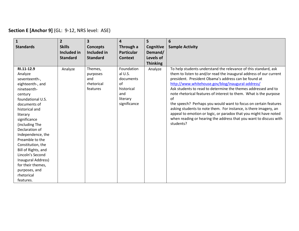## **Section E [Anchor 9]** (GL: 9-12, NRS level: ASE)

| 1                                                                                                                                                                                                                                                                                                                   | $\overline{2}$             | $\overline{\mathbf{3}}$                                                 | $\overline{\mathbf{4}}$                                                                                     | 5                                       | 6                                                                                                                                                                                                                                                                                                                                                                                                                                                                                                                                                                                                                                                                                           |
|---------------------------------------------------------------------------------------------------------------------------------------------------------------------------------------------------------------------------------------------------------------------------------------------------------------------|----------------------------|-------------------------------------------------------------------------|-------------------------------------------------------------------------------------------------------------|-----------------------------------------|---------------------------------------------------------------------------------------------------------------------------------------------------------------------------------------------------------------------------------------------------------------------------------------------------------------------------------------------------------------------------------------------------------------------------------------------------------------------------------------------------------------------------------------------------------------------------------------------------------------------------------------------------------------------------------------------|
| <b>Standards</b>                                                                                                                                                                                                                                                                                                    | <b>Skills</b>              | <b>Concepts</b><br>Included in                                          | Through a                                                                                                   | Cognitive                               | <b>Sample Activity</b>                                                                                                                                                                                                                                                                                                                                                                                                                                                                                                                                                                                                                                                                      |
|                                                                                                                                                                                                                                                                                                                     | Included in                |                                                                         | <b>Particular</b>                                                                                           | Demand/                                 |                                                                                                                                                                                                                                                                                                                                                                                                                                                                                                                                                                                                                                                                                             |
|                                                                                                                                                                                                                                                                                                                     |                            |                                                                         |                                                                                                             |                                         |                                                                                                                                                                                                                                                                                                                                                                                                                                                                                                                                                                                                                                                                                             |
| RI.11-12.9<br>Analyze<br>seventeenth-,<br>eighteenth-, and<br>nineteenth-<br>century<br>foundational U.S.<br>documents of<br>historical and<br>literary<br>significance<br>(including The<br>Declaration of<br>Independence, the<br>Preamble to the<br>Constitution, the<br>Bill of Rights, and<br>Lincoln's Second | <b>Standard</b><br>Analyze | <b>Standard</b><br>Themes,<br>purposes<br>and<br>rhetorical<br>features | <b>Context</b><br>Foundation<br>al U.S.<br>documents<br>of<br>historical<br>and<br>literary<br>significance | Levels of<br><b>Thinking</b><br>Analyze | To help students understand the relevance of this standard, ask<br>them to listen to and/or read the inaugural address of our current<br>president. President Obama's address can be found at<br>http://www.whitehouse.gov/blog/inaugural-address/<br>Ask students to read to determine the themes addressed and to<br>note rhetorical features of interest to them. What is the purpose<br>of<br>the speech? Perhaps you would want to focus on certain features<br>asking students to note them. For instance, is there imagery, an<br>appeal to emotion or logic, or paradox that you might have noted<br>when reading or hearing the address that you want to discuss with<br>students? |
| Inaugural Address)<br>for their themes,<br>purposes, and                                                                                                                                                                                                                                                            |                            |                                                                         |                                                                                                             |                                         |                                                                                                                                                                                                                                                                                                                                                                                                                                                                                                                                                                                                                                                                                             |
| rhetorical<br>features.                                                                                                                                                                                                                                                                                             |                            |                                                                         |                                                                                                             |                                         |                                                                                                                                                                                                                                                                                                                                                                                                                                                                                                                                                                                                                                                                                             |